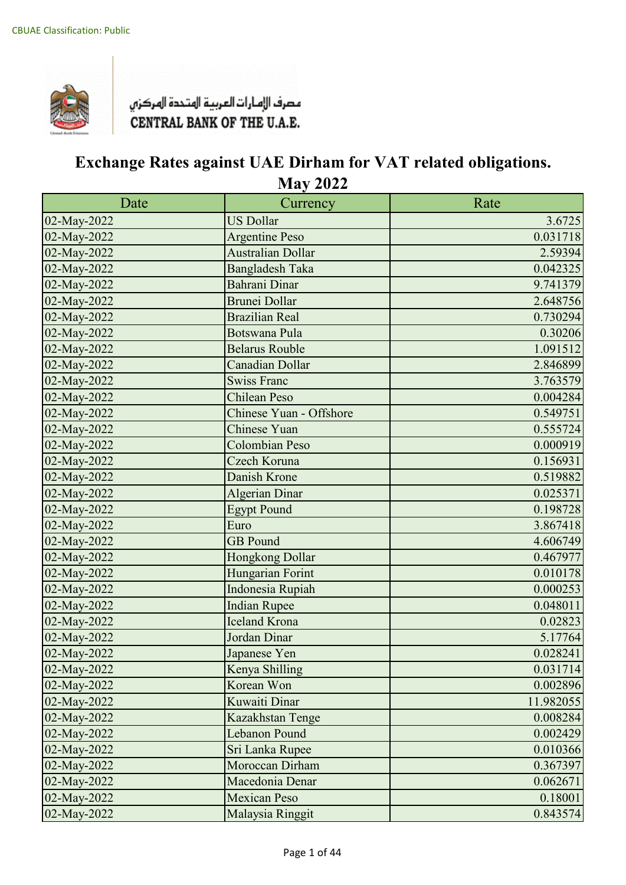

| Date        | Currency                | Rate      |
|-------------|-------------------------|-----------|
| 02-May-2022 | <b>US Dollar</b>        | 3.6725    |
| 02-May-2022 | <b>Argentine Peso</b>   | 0.031718  |
| 02-May-2022 | Australian Dollar       | 2.59394   |
| 02-May-2022 | <b>Bangladesh Taka</b>  | 0.042325  |
| 02-May-2022 | Bahrani Dinar           | 9.741379  |
| 02-May-2022 | <b>Brunei Dollar</b>    | 2.648756  |
| 02-May-2022 | <b>Brazilian Real</b>   | 0.730294  |
| 02-May-2022 | <b>Botswana Pula</b>    | 0.30206   |
| 02-May-2022 | <b>Belarus Rouble</b>   | 1.091512  |
| 02-May-2022 | <b>Canadian Dollar</b>  | 2.846899  |
| 02-May-2022 | <b>Swiss Franc</b>      | 3.763579  |
| 02-May-2022 | <b>Chilean Peso</b>     | 0.004284  |
| 02-May-2022 | Chinese Yuan - Offshore | 0.549751  |
| 02-May-2022 | <b>Chinese Yuan</b>     | 0.555724  |
| 02-May-2022 | Colombian Peso          | 0.000919  |
| 02-May-2022 | Czech Koruna            | 0.156931  |
| 02-May-2022 | Danish Krone            | 0.519882  |
| 02-May-2022 | Algerian Dinar          | 0.025371  |
| 02-May-2022 | <b>Egypt Pound</b>      | 0.198728  |
| 02-May-2022 | Euro                    | 3.867418  |
| 02-May-2022 | <b>GB</b> Pound         | 4.606749  |
| 02-May-2022 | Hongkong Dollar         | 0.467977  |
| 02-May-2022 | Hungarian Forint        | 0.010178  |
| 02-May-2022 | Indonesia Rupiah        | 0.000253  |
| 02-May-2022 | <b>Indian Rupee</b>     | 0.048011  |
| 02-May-2022 | <b>Iceland Krona</b>    | 0.02823   |
| 02-May-2022 | Jordan Dinar            | 5.17764   |
| 02-May-2022 | Japanese Yen            | 0.028241  |
| 02-May-2022 | Kenya Shilling          | 0.031714  |
| 02-May-2022 | Korean Won              | 0.002896  |
| 02-May-2022 | Kuwaiti Dinar           | 11.982055 |
| 02-May-2022 | Kazakhstan Tenge        | 0.008284  |
| 02-May-2022 | Lebanon Pound           | 0.002429  |
| 02-May-2022 | Sri Lanka Rupee         | 0.010366  |
| 02-May-2022 | Moroccan Dirham         | 0.367397  |
| 02-May-2022 | Macedonia Denar         | 0.062671  |
| 02-May-2022 | <b>Mexican Peso</b>     | 0.18001   |
| 02-May-2022 | Malaysia Ringgit        | 0.843574  |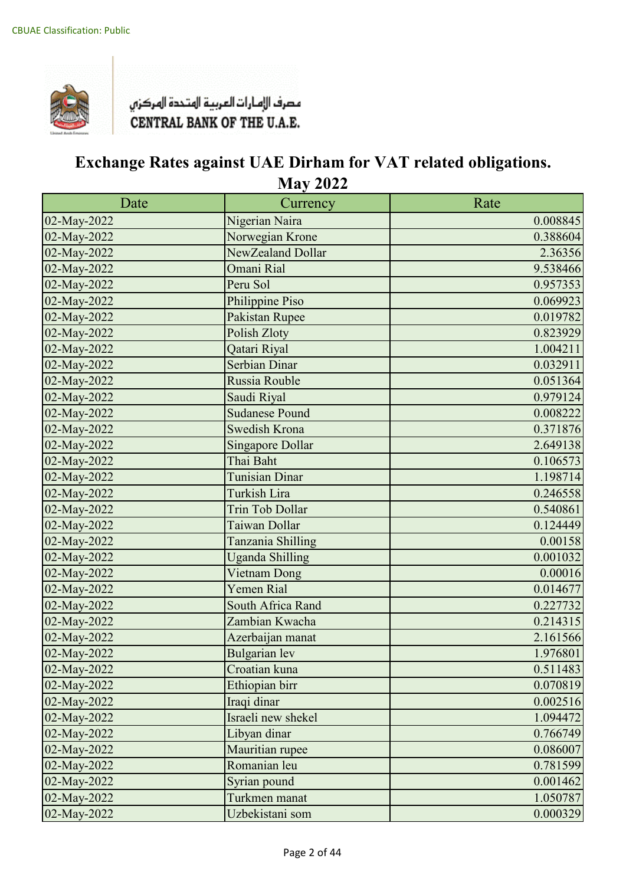

| Date        | Currency                | Rate     |
|-------------|-------------------------|----------|
| 02-May-2022 | Nigerian Naira          | 0.008845 |
| 02-May-2022 | Norwegian Krone         | 0.388604 |
| 02-May-2022 | NewZealand Dollar       | 2.36356  |
| 02-May-2022 | Omani Rial              | 9.538466 |
| 02-May-2022 | Peru Sol                | 0.957353 |
| 02-May-2022 | Philippine Piso         | 0.069923 |
| 02-May-2022 | Pakistan Rupee          | 0.019782 |
| 02-May-2022 | Polish Zloty            | 0.823929 |
| 02-May-2022 | Qatari Riyal            | 1.004211 |
| 02-May-2022 | Serbian Dinar           | 0.032911 |
| 02-May-2022 | Russia Rouble           | 0.051364 |
| 02-May-2022 | Saudi Riyal             | 0.979124 |
| 02-May-2022 | <b>Sudanese Pound</b>   | 0.008222 |
| 02-May-2022 | <b>Swedish Krona</b>    | 0.371876 |
| 02-May-2022 | <b>Singapore Dollar</b> | 2.649138 |
| 02-May-2022 | Thai Baht               | 0.106573 |
| 02-May-2022 | <b>Tunisian Dinar</b>   | 1.198714 |
| 02-May-2022 | Turkish Lira            | 0.246558 |
| 02-May-2022 | <b>Trin Tob Dollar</b>  | 0.540861 |
| 02-May-2022 | Taiwan Dollar           | 0.124449 |
| 02-May-2022 | Tanzania Shilling       | 0.00158  |
| 02-May-2022 | <b>Uganda Shilling</b>  | 0.001032 |
| 02-May-2022 | Vietnam Dong            | 0.00016  |
| 02-May-2022 | Yemen Rial              | 0.014677 |
| 02-May-2022 | South Africa Rand       | 0.227732 |
| 02-May-2022 | Zambian Kwacha          | 0.214315 |
| 02-May-2022 | Azerbaijan manat        | 2.161566 |
| 02-May-2022 | <b>Bulgarian</b> lev    | 1.976801 |
| 02-May-2022 | Croatian kuna           | 0.511483 |
| 02-May-2022 | Ethiopian birr          | 0.070819 |
| 02-May-2022 | Iraqi dinar             | 0.002516 |
| 02-May-2022 | Israeli new shekel      | 1.094472 |
| 02-May-2022 | Libyan dinar            | 0.766749 |
| 02-May-2022 | Mauritian rupee         | 0.086007 |
| 02-May-2022 | Romanian leu            | 0.781599 |
| 02-May-2022 | Syrian pound            | 0.001462 |
| 02-May-2022 | Turkmen manat           | 1.050787 |
| 02-May-2022 | Uzbekistani som         | 0.000329 |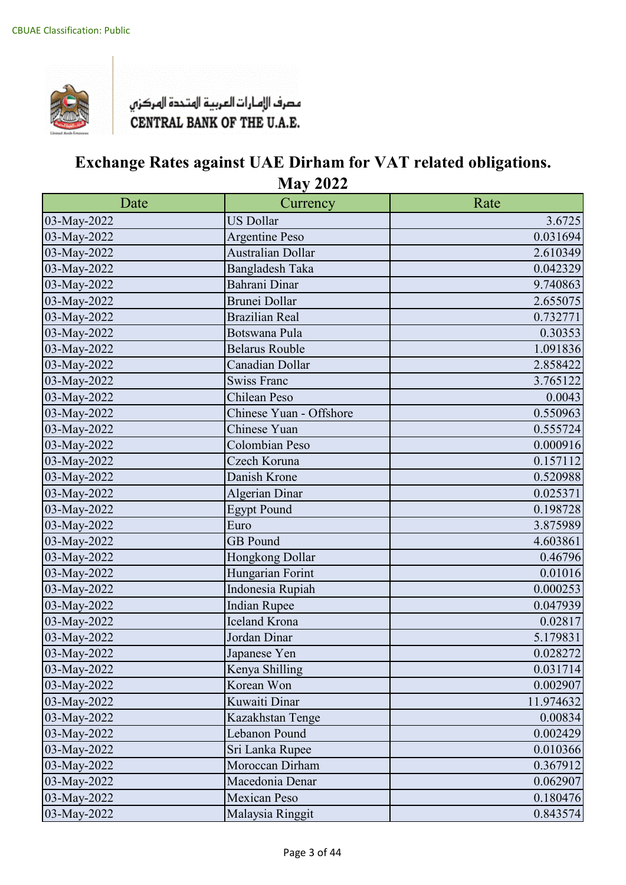

| Date        | Currency                | Rate      |
|-------------|-------------------------|-----------|
| 03-May-2022 | <b>US Dollar</b>        | 3.6725    |
| 03-May-2022 | <b>Argentine Peso</b>   | 0.031694  |
| 03-May-2022 | Australian Dollar       | 2.610349  |
| 03-May-2022 | <b>Bangladesh Taka</b>  | 0.042329  |
| 03-May-2022 | Bahrani Dinar           | 9.740863  |
| 03-May-2022 | <b>Brunei Dollar</b>    | 2.655075  |
| 03-May-2022 | <b>Brazilian Real</b>   | 0.732771  |
| 03-May-2022 | Botswana Pula           | 0.30353   |
| 03-May-2022 | <b>Belarus Rouble</b>   | 1.091836  |
| 03-May-2022 | Canadian Dollar         | 2.858422  |
| 03-May-2022 | <b>Swiss Franc</b>      | 3.765122  |
| 03-May-2022 | Chilean Peso            | 0.0043    |
| 03-May-2022 | Chinese Yuan - Offshore | 0.550963  |
| 03-May-2022 | Chinese Yuan            | 0.555724  |
| 03-May-2022 | Colombian Peso          | 0.000916  |
| 03-May-2022 | Czech Koruna            | 0.157112  |
| 03-May-2022 | Danish Krone            | 0.520988  |
| 03-May-2022 | Algerian Dinar          | 0.025371  |
| 03-May-2022 | <b>Egypt Pound</b>      | 0.198728  |
| 03-May-2022 | Euro                    | 3.875989  |
| 03-May-2022 | <b>GB</b> Pound         | 4.603861  |
| 03-May-2022 | Hongkong Dollar         | 0.46796   |
| 03-May-2022 | Hungarian Forint        | 0.01016   |
| 03-May-2022 | Indonesia Rupiah        | 0.000253  |
| 03-May-2022 | <b>Indian Rupee</b>     | 0.047939  |
| 03-May-2022 | <b>Iceland Krona</b>    | 0.02817   |
| 03-May-2022 | Jordan Dinar            | 5.179831  |
| 03-May-2022 | Japanese Yen            | 0.028272  |
| 03-May-2022 | Kenya Shilling          | 0.031714  |
| 03-May-2022 | Korean Won              | 0.002907  |
| 03-May-2022 | Kuwaiti Dinar           | 11.974632 |
| 03-May-2022 | Kazakhstan Tenge        | 0.00834   |
| 03-May-2022 | Lebanon Pound           | 0.002429  |
| 03-May-2022 | Sri Lanka Rupee         | 0.010366  |
| 03-May-2022 | Moroccan Dirham         | 0.367912  |
| 03-May-2022 | Macedonia Denar         | 0.062907  |
| 03-May-2022 | <b>Mexican Peso</b>     | 0.180476  |
| 03-May-2022 | Malaysia Ringgit        | 0.843574  |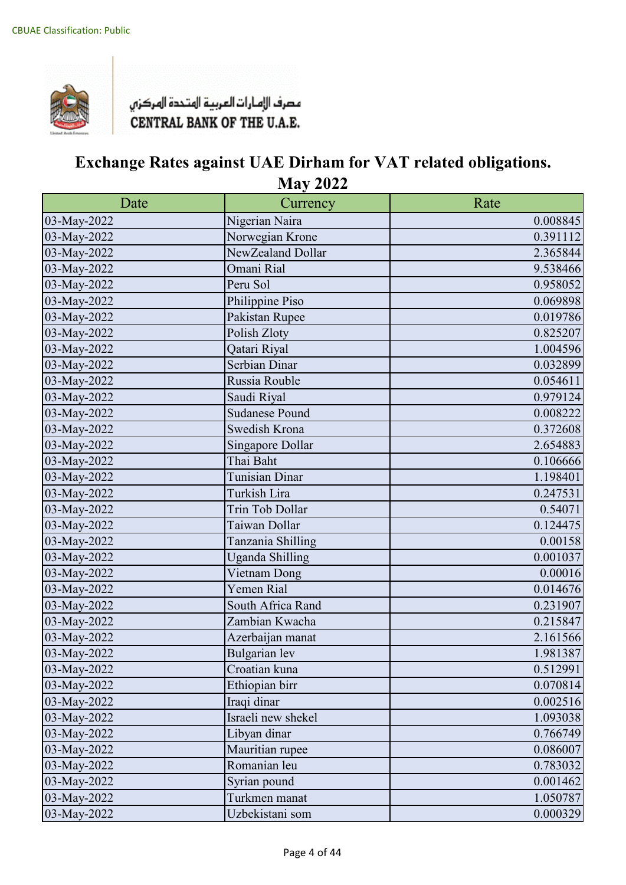

| Date        | Currency               | Rate     |
|-------------|------------------------|----------|
| 03-May-2022 | Nigerian Naira         | 0.008845 |
| 03-May-2022 | Norwegian Krone        | 0.391112 |
| 03-May-2022 | NewZealand Dollar      | 2.365844 |
| 03-May-2022 | Omani Rial             | 9.538466 |
| 03-May-2022 | Peru Sol               | 0.958052 |
| 03-May-2022 | Philippine Piso        | 0.069898 |
| 03-May-2022 | Pakistan Rupee         | 0.019786 |
| 03-May-2022 | Polish Zloty           | 0.825207 |
| 03-May-2022 | Qatari Riyal           | 1.004596 |
| 03-May-2022 | Serbian Dinar          | 0.032899 |
| 03-May-2022 | Russia Rouble          | 0.054611 |
| 03-May-2022 | Saudi Riyal            | 0.979124 |
| 03-May-2022 | <b>Sudanese Pound</b>  | 0.008222 |
| 03-May-2022 | Swedish Krona          | 0.372608 |
| 03-May-2022 | Singapore Dollar       | 2.654883 |
| 03-May-2022 | Thai Baht              | 0.106666 |
| 03-May-2022 | <b>Tunisian Dinar</b>  | 1.198401 |
| 03-May-2022 | Turkish Lira           | 0.247531 |
| 03-May-2022 | Trin Tob Dollar        | 0.54071  |
| 03-May-2022 | Taiwan Dollar          | 0.124475 |
| 03-May-2022 | Tanzania Shilling      | 0.00158  |
| 03-May-2022 | <b>Uganda Shilling</b> | 0.001037 |
| 03-May-2022 | Vietnam Dong           | 0.00016  |
| 03-May-2022 | Yemen Rial             | 0.014676 |
| 03-May-2022 | South Africa Rand      | 0.231907 |
| 03-May-2022 | Zambian Kwacha         | 0.215847 |
| 03-May-2022 | Azerbaijan manat       | 2.161566 |
| 03-May-2022 | Bulgarian lev          | 1.981387 |
| 03-May-2022 | Croatian kuna          | 0.512991 |
| 03-May-2022 | Ethiopian birr         | 0.070814 |
| 03-May-2022 | Iraqi dinar            | 0.002516 |
| 03-May-2022 | Israeli new shekel     | 1.093038 |
| 03-May-2022 | Libyan dinar           | 0.766749 |
| 03-May-2022 | Mauritian rupee        | 0.086007 |
| 03-May-2022 | Romanian leu           | 0.783032 |
| 03-May-2022 | Syrian pound           | 0.001462 |
| 03-May-2022 | Turkmen manat          | 1.050787 |
| 03-May-2022 | Uzbekistani som        | 0.000329 |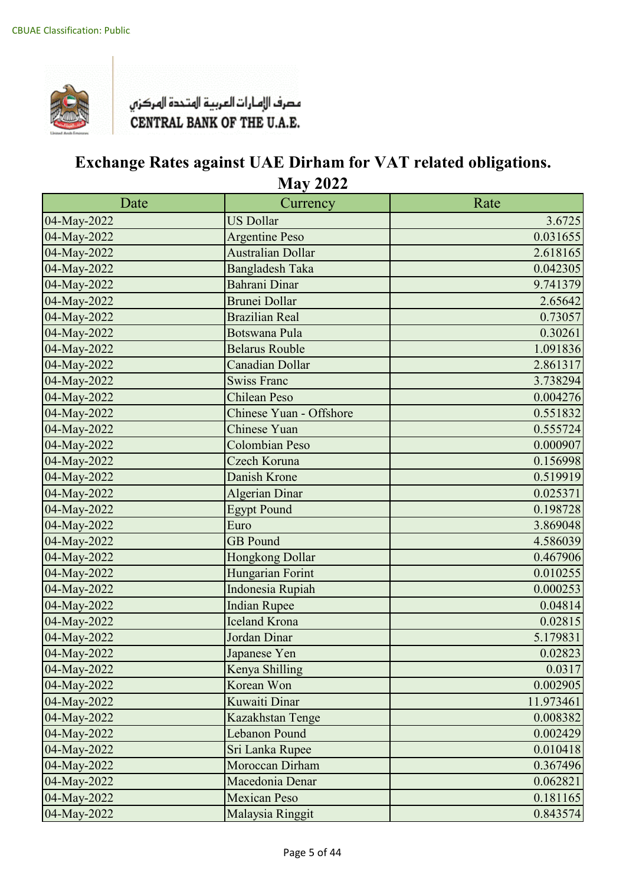

| Date        | Currency                | Rate      |
|-------------|-------------------------|-----------|
| 04-May-2022 | <b>US Dollar</b>        | 3.6725    |
| 04-May-2022 | <b>Argentine Peso</b>   | 0.031655  |
| 04-May-2022 | Australian Dollar       | 2.618165  |
| 04-May-2022 | <b>Bangladesh Taka</b>  | 0.042305  |
| 04-May-2022 | Bahrani Dinar           | 9.741379  |
| 04-May-2022 | <b>Brunei Dollar</b>    | 2.65642   |
| 04-May-2022 | <b>Brazilian Real</b>   | 0.73057   |
| 04-May-2022 | <b>Botswana Pula</b>    | 0.30261   |
| 04-May-2022 | <b>Belarus Rouble</b>   | 1.091836  |
| 04-May-2022 | <b>Canadian Dollar</b>  | 2.861317  |
| 04-May-2022 | <b>Swiss Franc</b>      | 3.738294  |
| 04-May-2022 | <b>Chilean Peso</b>     | 0.004276  |
| 04-May-2022 | Chinese Yuan - Offshore | 0.551832  |
| 04-May-2022 | <b>Chinese Yuan</b>     | 0.555724  |
| 04-May-2022 | <b>Colombian Peso</b>   | 0.000907  |
| 04-May-2022 | Czech Koruna            | 0.156998  |
| 04-May-2022 | Danish Krone            | 0.519919  |
| 04-May-2022 | <b>Algerian Dinar</b>   | 0.025371  |
| 04-May-2022 | <b>Egypt Pound</b>      | 0.198728  |
| 04-May-2022 | Euro                    | 3.869048  |
| 04-May-2022 | <b>GB</b> Pound         | 4.586039  |
| 04-May-2022 | Hongkong Dollar         | 0.467906  |
| 04-May-2022 | Hungarian Forint        | 0.010255  |
| 04-May-2022 | Indonesia Rupiah        | 0.000253  |
| 04-May-2022 | <b>Indian Rupee</b>     | 0.04814   |
| 04-May-2022 | <b>Iceland Krona</b>    | 0.02815   |
| 04-May-2022 | Jordan Dinar            | 5.179831  |
| 04-May-2022 | Japanese Yen            | 0.02823   |
| 04-May-2022 | Kenya Shilling          | 0.0317    |
| 04-May-2022 | Korean Won              | 0.002905  |
| 04-May-2022 | Kuwaiti Dinar           | 11.973461 |
| 04-May-2022 | Kazakhstan Tenge        | 0.008382  |
| 04-May-2022 | Lebanon Pound           | 0.002429  |
| 04-May-2022 | Sri Lanka Rupee         | 0.010418  |
| 04-May-2022 | Moroccan Dirham         | 0.367496  |
| 04-May-2022 | Macedonia Denar         | 0.062821  |
| 04-May-2022 | <b>Mexican Peso</b>     | 0.181165  |
| 04-May-2022 | Malaysia Ringgit        | 0.843574  |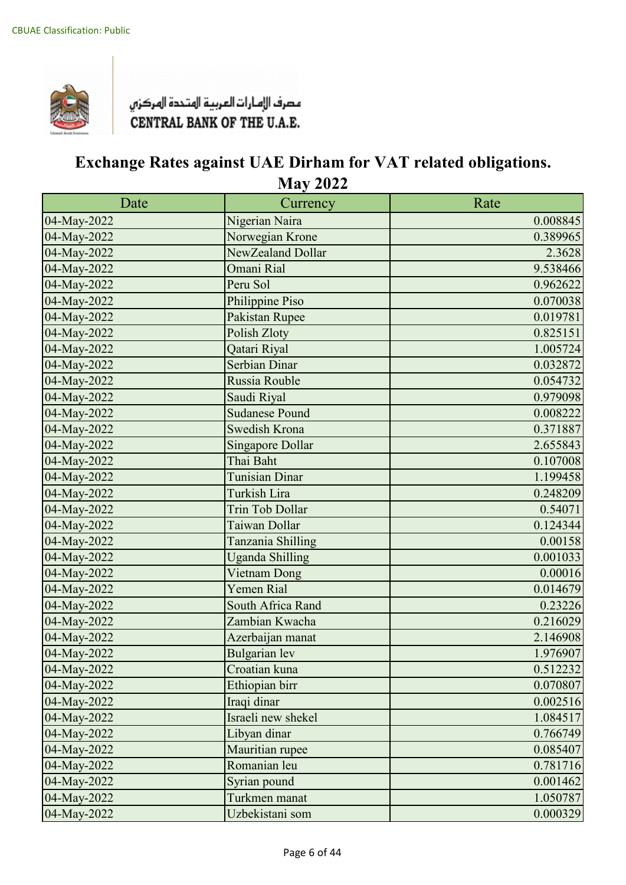

| Date        | Currency                | Rate     |
|-------------|-------------------------|----------|
| 04-May-2022 | Nigerian Naira          | 0.008845 |
| 04-May-2022 | Norwegian Krone         | 0.389965 |
| 04-May-2022 | NewZealand Dollar       | 2.3628   |
| 04-May-2022 | Omani Rial              | 9.538466 |
| 04-May-2022 | Peru Sol                | 0.962622 |
| 04-May-2022 | Philippine Piso         | 0.070038 |
| 04-May-2022 | Pakistan Rupee          | 0.019781 |
| 04-May-2022 | Polish Zloty            | 0.825151 |
| 04-May-2022 | Qatari Riyal            | 1.005724 |
| 04-May-2022 | Serbian Dinar           | 0.032872 |
| 04-May-2022 | Russia Rouble           | 0.054732 |
| 04-May-2022 | Saudi Riyal             | 0.979098 |
| 04-May-2022 | <b>Sudanese Pound</b>   | 0.008222 |
| 04-May-2022 | Swedish Krona           | 0.371887 |
| 04-May-2022 | <b>Singapore Dollar</b> | 2.655843 |
| 04-May-2022 | Thai Baht               | 0.107008 |
| 04-May-2022 | <b>Tunisian Dinar</b>   | 1.199458 |
| 04-May-2022 | <b>Turkish Lira</b>     | 0.248209 |
| 04-May-2022 | <b>Trin Tob Dollar</b>  | 0.54071  |
| 04-May-2022 | Taiwan Dollar           | 0.124344 |
| 04-May-2022 | Tanzania Shilling       | 0.00158  |
| 04-May-2022 | <b>Uganda Shilling</b>  | 0.001033 |
| 04-May-2022 | Vietnam Dong            | 0.00016  |
| 04-May-2022 | Yemen Rial              | 0.014679 |
| 04-May-2022 | South Africa Rand       | 0.23226  |
| 04-May-2022 | Zambian Kwacha          | 0.216029 |
| 04-May-2022 | Azerbaijan manat        | 2.146908 |
| 04-May-2022 | <b>Bulgarian</b> lev    | 1.976907 |
| 04-May-2022 | Croatian kuna           | 0.512232 |
| 04-May-2022 | Ethiopian birr          | 0.070807 |
| 04-May-2022 | Iraqi dinar             | 0.002516 |
| 04-May-2022 | Israeli new shekel      | 1.084517 |
| 04-May-2022 | Libyan dinar            | 0.766749 |
| 04-May-2022 | Mauritian rupee         | 0.085407 |
| 04-May-2022 | Romanian leu            | 0.781716 |
| 04-May-2022 | Syrian pound            | 0.001462 |
| 04-May-2022 | Turkmen manat           | 1.050787 |
| 04-May-2022 | Uzbekistani som         | 0.000329 |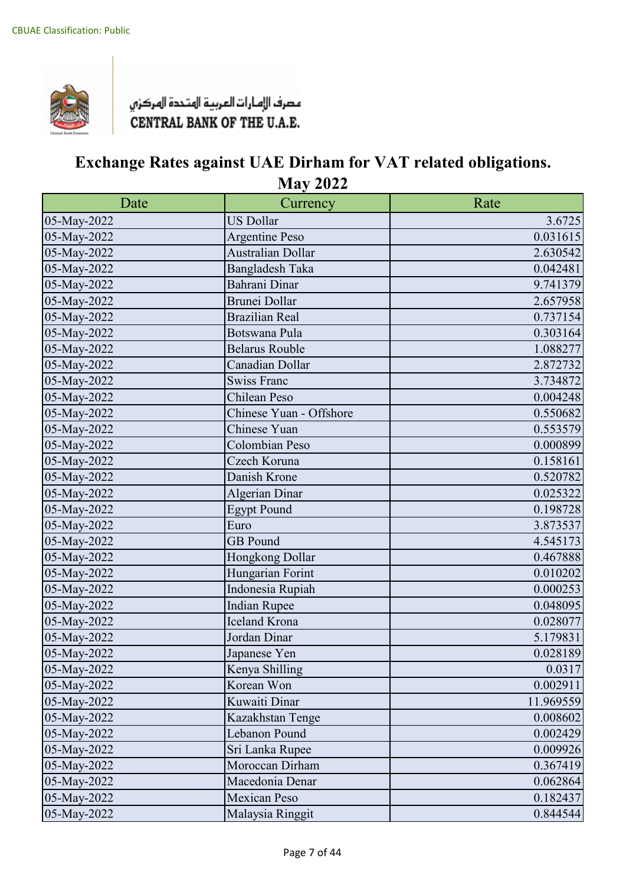

| Date        | Currency                 | Rate      |
|-------------|--------------------------|-----------|
| 05-May-2022 | <b>US Dollar</b>         | 3.6725    |
| 05-May-2022 | <b>Argentine Peso</b>    | 0.031615  |
| 05-May-2022 | <b>Australian Dollar</b> | 2.630542  |
| 05-May-2022 | <b>Bangladesh Taka</b>   | 0.042481  |
| 05-May-2022 | Bahrani Dinar            | 9.741379  |
| 05-May-2022 | <b>Brunei Dollar</b>     | 2.657958  |
| 05-May-2022 | <b>Brazilian Real</b>    | 0.737154  |
| 05-May-2022 | Botswana Pula            | 0.303164  |
| 05-May-2022 | <b>Belarus Rouble</b>    | 1.088277  |
| 05-May-2022 | Canadian Dollar          | 2.872732  |
| 05-May-2022 | <b>Swiss Franc</b>       | 3.734872  |
| 05-May-2022 | Chilean Peso             | 0.004248  |
| 05-May-2022 | Chinese Yuan - Offshore  | 0.550682  |
| 05-May-2022 | Chinese Yuan             | 0.553579  |
| 05-May-2022 | Colombian Peso           | 0.000899  |
| 05-May-2022 | Czech Koruna             | 0.158161  |
| 05-May-2022 | Danish Krone             | 0.520782  |
| 05-May-2022 | <b>Algerian Dinar</b>    | 0.025322  |
| 05-May-2022 | <b>Egypt Pound</b>       | 0.198728  |
| 05-May-2022 | Euro                     | 3.873537  |
| 05-May-2022 | <b>GB</b> Pound          | 4.545173  |
| 05-May-2022 | Hongkong Dollar          | 0.467888  |
| 05-May-2022 | Hungarian Forint         | 0.010202  |
| 05-May-2022 | Indonesia Rupiah         | 0.000253  |
| 05-May-2022 | <b>Indian Rupee</b>      | 0.048095  |
| 05-May-2022 | <b>Iceland Krona</b>     | 0.028077  |
| 05-May-2022 | Jordan Dinar             | 5.179831  |
| 05-May-2022 | Japanese Yen             | 0.028189  |
| 05-May-2022 | Kenya Shilling           | 0.0317    |
| 05-May-2022 | Korean Won               | 0.002911  |
| 05-May-2022 | Kuwaiti Dinar            | 11.969559 |
| 05-May-2022 | Kazakhstan Tenge         | 0.008602  |
| 05-May-2022 | Lebanon Pound            | 0.002429  |
| 05-May-2022 | Sri Lanka Rupee          | 0.009926  |
| 05-May-2022 | Moroccan Dirham          | 0.367419  |
| 05-May-2022 | Macedonia Denar          | 0.062864  |
| 05-May-2022 | <b>Mexican Peso</b>      | 0.182437  |
| 05-May-2022 | Malaysia Ringgit         | 0.844544  |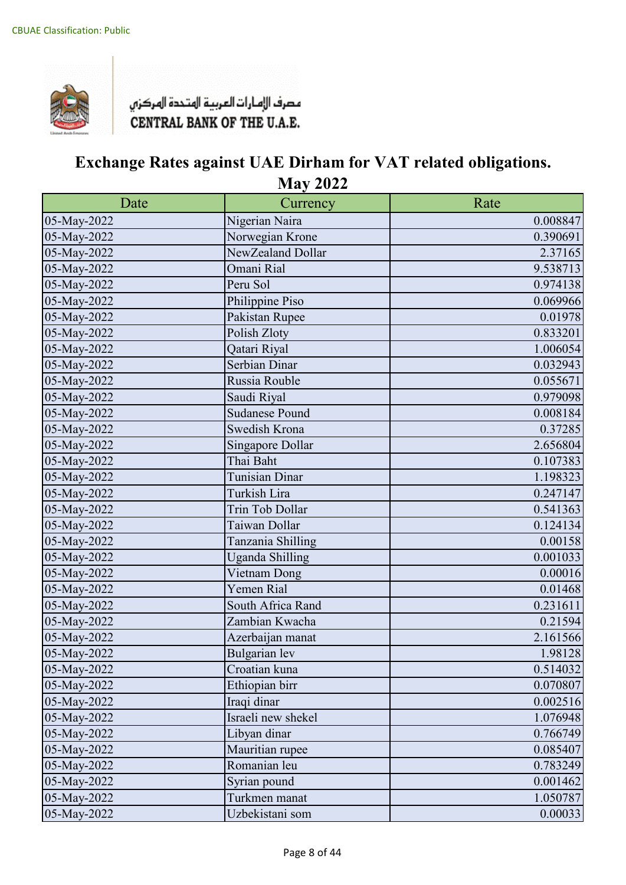

| Date        | Currency               | Rate     |
|-------------|------------------------|----------|
| 05-May-2022 | Nigerian Naira         | 0.008847 |
| 05-May-2022 | Norwegian Krone        | 0.390691 |
| 05-May-2022 | NewZealand Dollar      | 2.37165  |
| 05-May-2022 | Omani Rial             | 9.538713 |
| 05-May-2022 | Peru Sol               | 0.974138 |
| 05-May-2022 | Philippine Piso        | 0.069966 |
| 05-May-2022 | Pakistan Rupee         | 0.01978  |
| 05-May-2022 | Polish Zloty           | 0.833201 |
| 05-May-2022 | Qatari Riyal           | 1.006054 |
| 05-May-2022 | Serbian Dinar          | 0.032943 |
| 05-May-2022 | Russia Rouble          | 0.055671 |
| 05-May-2022 | Saudi Riyal            | 0.979098 |
| 05-May-2022 | <b>Sudanese Pound</b>  | 0.008184 |
| 05-May-2022 | Swedish Krona          | 0.37285  |
| 05-May-2022 | Singapore Dollar       | 2.656804 |
| 05-May-2022 | Thai Baht              | 0.107383 |
| 05-May-2022 | <b>Tunisian Dinar</b>  | 1.198323 |
| 05-May-2022 | Turkish Lira           | 0.247147 |
| 05-May-2022 | Trin Tob Dollar        | 0.541363 |
| 05-May-2022 | Taiwan Dollar          | 0.124134 |
| 05-May-2022 | Tanzania Shilling      | 0.00158  |
| 05-May-2022 | <b>Uganda Shilling</b> | 0.001033 |
| 05-May-2022 | Vietnam Dong           | 0.00016  |
| 05-May-2022 | Yemen Rial             | 0.01468  |
| 05-May-2022 | South Africa Rand      | 0.231611 |
| 05-May-2022 | Zambian Kwacha         | 0.21594  |
| 05-May-2022 | Azerbaijan manat       | 2.161566 |
| 05-May-2022 | Bulgarian lev          | 1.98128  |
| 05-May-2022 | Croatian kuna          | 0.514032 |
| 05-May-2022 | Ethiopian birr         | 0.070807 |
| 05-May-2022 | Iraqi dinar            | 0.002516 |
| 05-May-2022 | Israeli new shekel     | 1.076948 |
| 05-May-2022 | Libyan dinar           | 0.766749 |
| 05-May-2022 | Mauritian rupee        | 0.085407 |
| 05-May-2022 | Romanian leu           | 0.783249 |
| 05-May-2022 | Syrian pound           | 0.001462 |
| 05-May-2022 | Turkmen manat          | 1.050787 |
| 05-May-2022 | Uzbekistani som        | 0.00033  |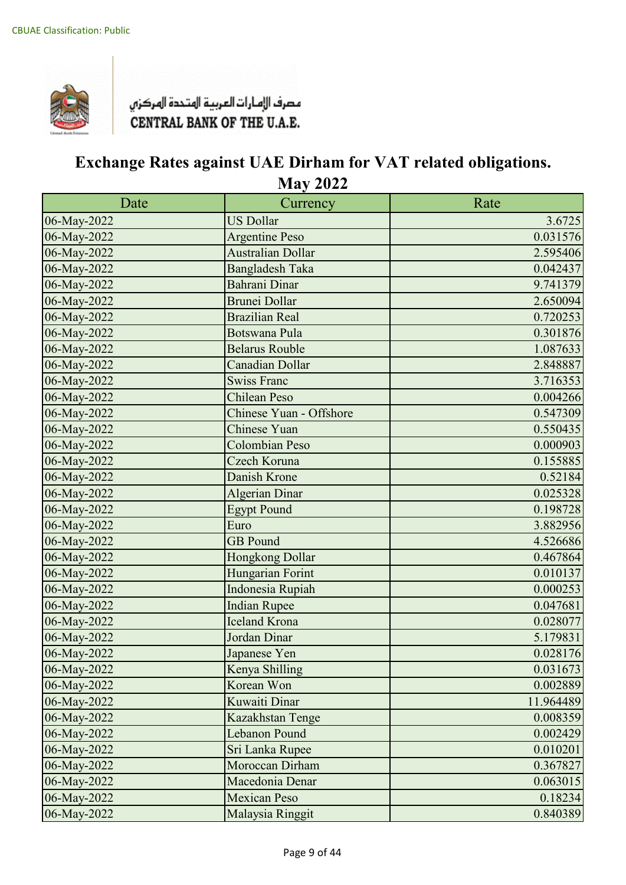

| Date        | Currency                | Rate      |
|-------------|-------------------------|-----------|
| 06-May-2022 | <b>US Dollar</b>        | 3.6725    |
| 06-May-2022 | <b>Argentine Peso</b>   | 0.031576  |
| 06-May-2022 | Australian Dollar       | 2.595406  |
| 06-May-2022 | <b>Bangladesh Taka</b>  | 0.042437  |
| 06-May-2022 | <b>Bahrani Dinar</b>    | 9.741379  |
| 06-May-2022 | <b>Brunei Dollar</b>    | 2.650094  |
| 06-May-2022 | <b>Brazilian Real</b>   | 0.720253  |
| 06-May-2022 | <b>Botswana Pula</b>    | 0.301876  |
| 06-May-2022 | <b>Belarus Rouble</b>   | 1.087633  |
| 06-May-2022 | <b>Canadian Dollar</b>  | 2.848887  |
| 06-May-2022 | <b>Swiss Franc</b>      | 3.716353  |
| 06-May-2022 | <b>Chilean Peso</b>     | 0.004266  |
| 06-May-2022 | Chinese Yuan - Offshore | 0.547309  |
| 06-May-2022 | Chinese Yuan            | 0.550435  |
| 06-May-2022 | Colombian Peso          | 0.000903  |
| 06-May-2022 | Czech Koruna            | 0.155885  |
| 06-May-2022 | Danish Krone            | 0.52184   |
| 06-May-2022 | Algerian Dinar          | 0.025328  |
| 06-May-2022 | <b>Egypt Pound</b>      | 0.198728  |
| 06-May-2022 | Euro                    | 3.882956  |
| 06-May-2022 | <b>GB</b> Pound         | 4.526686  |
| 06-May-2022 | Hongkong Dollar         | 0.467864  |
| 06-May-2022 | Hungarian Forint        | 0.010137  |
| 06-May-2022 | Indonesia Rupiah        | 0.000253  |
| 06-May-2022 | <b>Indian Rupee</b>     | 0.047681  |
| 06-May-2022 | <b>Iceland Krona</b>    | 0.028077  |
| 06-May-2022 | Jordan Dinar            | 5.179831  |
| 06-May-2022 | Japanese Yen            | 0.028176  |
| 06-May-2022 | Kenya Shilling          | 0.031673  |
| 06-May-2022 | Korean Won              | 0.002889  |
| 06-May-2022 | Kuwaiti Dinar           | 11.964489 |
| 06-May-2022 | Kazakhstan Tenge        | 0.008359  |
| 06-May-2022 | Lebanon Pound           | 0.002429  |
| 06-May-2022 | Sri Lanka Rupee         | 0.010201  |
| 06-May-2022 | Moroccan Dirham         | 0.367827  |
| 06-May-2022 | Macedonia Denar         | 0.063015  |
| 06-May-2022 | <b>Mexican Peso</b>     | 0.18234   |
| 06-May-2022 | Malaysia Ringgit        | 0.840389  |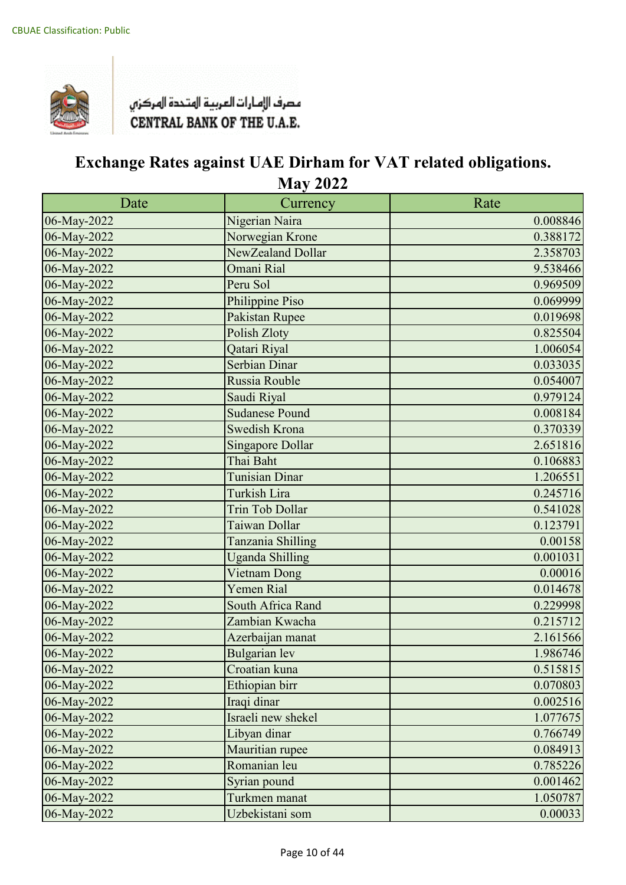

| Date        | Currency                | Rate     |
|-------------|-------------------------|----------|
| 06-May-2022 | Nigerian Naira          | 0.008846 |
| 06-May-2022 | Norwegian Krone         | 0.388172 |
| 06-May-2022 | NewZealand Dollar       | 2.358703 |
| 06-May-2022 | Omani Rial              | 9.538466 |
| 06-May-2022 | Peru Sol                | 0.969509 |
| 06-May-2022 | Philippine Piso         | 0.069999 |
| 06-May-2022 | Pakistan Rupee          | 0.019698 |
| 06-May-2022 | Polish Zloty            | 0.825504 |
| 06-May-2022 | Qatari Riyal            | 1.006054 |
| 06-May-2022 | Serbian Dinar           | 0.033035 |
| 06-May-2022 | Russia Rouble           | 0.054007 |
| 06-May-2022 | Saudi Riyal             | 0.979124 |
| 06-May-2022 | <b>Sudanese Pound</b>   | 0.008184 |
| 06-May-2022 | Swedish Krona           | 0.370339 |
| 06-May-2022 | <b>Singapore Dollar</b> | 2.651816 |
| 06-May-2022 | Thai Baht               | 0.106883 |
| 06-May-2022 | <b>Tunisian Dinar</b>   | 1.206551 |
| 06-May-2022 | Turkish Lira            | 0.245716 |
| 06-May-2022 | <b>Trin Tob Dollar</b>  | 0.541028 |
| 06-May-2022 | Taiwan Dollar           | 0.123791 |
| 06-May-2022 | Tanzania Shilling       | 0.00158  |
| 06-May-2022 | <b>Uganda Shilling</b>  | 0.001031 |
| 06-May-2022 | Vietnam Dong            | 0.00016  |
| 06-May-2022 | Yemen Rial              | 0.014678 |
| 06-May-2022 | South Africa Rand       | 0.229998 |
| 06-May-2022 | Zambian Kwacha          | 0.215712 |
| 06-May-2022 | Azerbaijan manat        | 2.161566 |
| 06-May-2022 | <b>Bulgarian</b> lev    | 1.986746 |
| 06-May-2022 | Croatian kuna           | 0.515815 |
| 06-May-2022 | Ethiopian birr          | 0.070803 |
| 06-May-2022 | Iraqi dinar             | 0.002516 |
| 06-May-2022 | Israeli new shekel      | 1.077675 |
| 06-May-2022 | Libyan dinar            | 0.766749 |
| 06-May-2022 | Mauritian rupee         | 0.084913 |
| 06-May-2022 | Romanian leu            | 0.785226 |
| 06-May-2022 | Syrian pound            | 0.001462 |
| 06-May-2022 | Turkmen manat           | 1.050787 |
| 06-May-2022 | Uzbekistani som         | 0.00033  |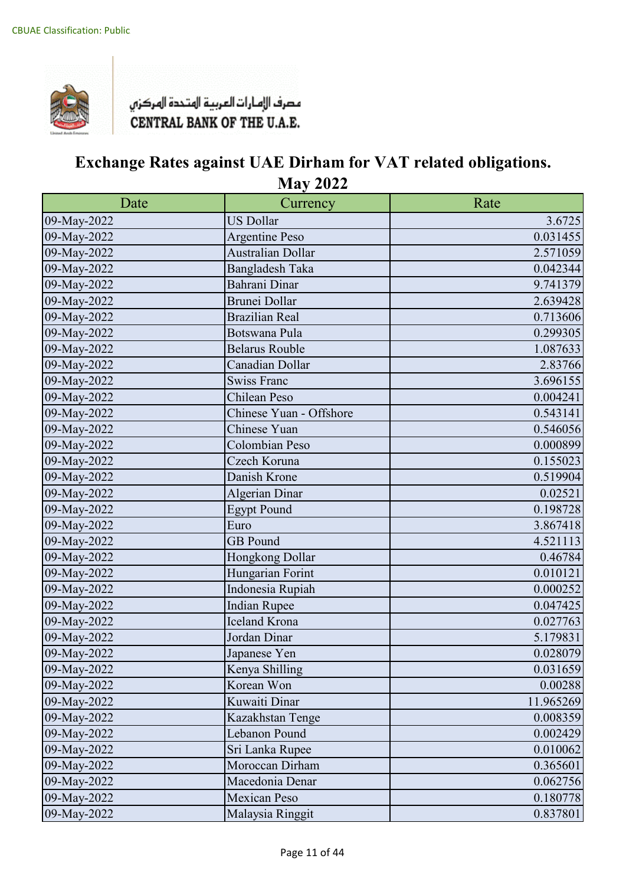

| Date        | Currency                | Rate      |
|-------------|-------------------------|-----------|
| 09-May-2022 | <b>US Dollar</b>        | 3.6725    |
| 09-May-2022 | Argentine Peso          | 0.031455  |
| 09-May-2022 | Australian Dollar       | 2.571059  |
| 09-May-2022 | <b>Bangladesh Taka</b>  | 0.042344  |
| 09-May-2022 | Bahrani Dinar           | 9.741379  |
| 09-May-2022 | <b>Brunei Dollar</b>    | 2.639428  |
| 09-May-2022 | <b>Brazilian Real</b>   | 0.713606  |
| 09-May-2022 | Botswana Pula           | 0.299305  |
| 09-May-2022 | <b>Belarus Rouble</b>   | 1.087633  |
| 09-May-2022 | Canadian Dollar         | 2.83766   |
| 09-May-2022 | <b>Swiss Franc</b>      | 3.696155  |
| 09-May-2022 | Chilean Peso            | 0.004241  |
| 09-May-2022 | Chinese Yuan - Offshore | 0.543141  |
| 09-May-2022 | Chinese Yuan            | 0.546056  |
| 09-May-2022 | Colombian Peso          | 0.000899  |
| 09-May-2022 | Czech Koruna            | 0.155023  |
| 09-May-2022 | Danish Krone            | 0.519904  |
| 09-May-2022 | <b>Algerian Dinar</b>   | 0.02521   |
| 09-May-2022 | <b>Egypt Pound</b>      | 0.198728  |
| 09-May-2022 | Euro                    | 3.867418  |
| 09-May-2022 | <b>GB</b> Pound         | 4.521113  |
| 09-May-2022 | Hongkong Dollar         | 0.46784   |
| 09-May-2022 | Hungarian Forint        | 0.010121  |
| 09-May-2022 | Indonesia Rupiah        | 0.000252  |
| 09-May-2022 | <b>Indian Rupee</b>     | 0.047425  |
| 09-May-2022 | <b>Iceland Krona</b>    | 0.027763  |
| 09-May-2022 | Jordan Dinar            | 5.179831  |
| 09-May-2022 | Japanese Yen            | 0.028079  |
| 09-May-2022 | Kenya Shilling          | 0.031659  |
| 09-May-2022 | Korean Won              | 0.00288   |
| 09-May-2022 | Kuwaiti Dinar           | 11.965269 |
| 09-May-2022 | Kazakhstan Tenge        | 0.008359  |
| 09-May-2022 | Lebanon Pound           | 0.002429  |
| 09-May-2022 | Sri Lanka Rupee         | 0.010062  |
| 09-May-2022 | Moroccan Dirham         | 0.365601  |
| 09-May-2022 | Macedonia Denar         | 0.062756  |
| 09-May-2022 | <b>Mexican Peso</b>     | 0.180778  |
| 09-May-2022 | Malaysia Ringgit        | 0.837801  |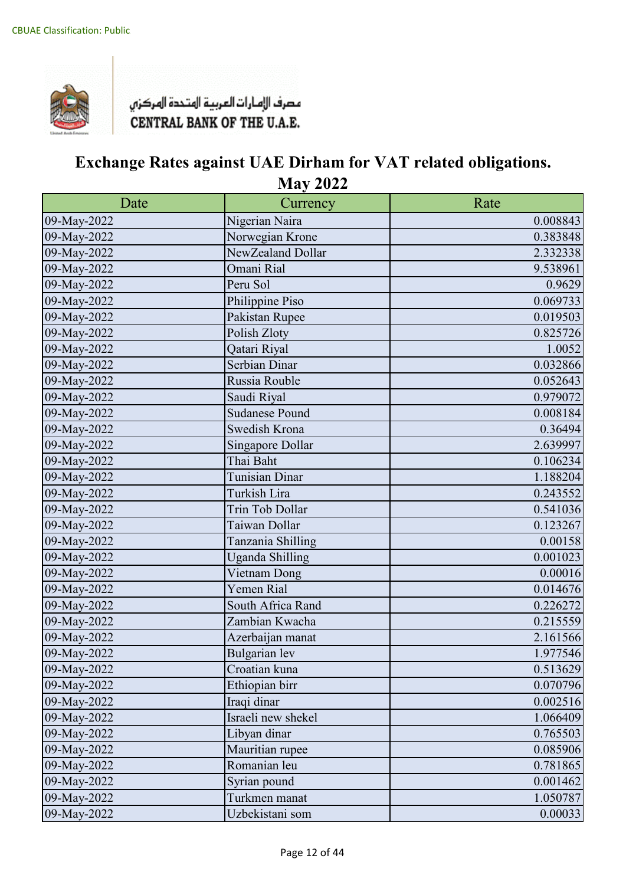

| Date        | Currency              | Rate     |
|-------------|-----------------------|----------|
| 09-May-2022 | Nigerian Naira        | 0.008843 |
| 09-May-2022 | Norwegian Krone       | 0.383848 |
| 09-May-2022 | NewZealand Dollar     | 2.332338 |
| 09-May-2022 | Omani Rial            | 9.538961 |
| 09-May-2022 | Peru Sol              | 0.9629   |
| 09-May-2022 | Philippine Piso       | 0.069733 |
| 09-May-2022 | Pakistan Rupee        | 0.019503 |
| 09-May-2022 | Polish Zloty          | 0.825726 |
| 09-May-2022 | Qatari Riyal          | 1.0052   |
| 09-May-2022 | Serbian Dinar         | 0.032866 |
| 09-May-2022 | Russia Rouble         | 0.052643 |
| 09-May-2022 | Saudi Riyal           | 0.979072 |
| 09-May-2022 | <b>Sudanese Pound</b> | 0.008184 |
| 09-May-2022 | Swedish Krona         | 0.36494  |
| 09-May-2022 | Singapore Dollar      | 2.639997 |
| 09-May-2022 | Thai Baht             | 0.106234 |
| 09-May-2022 | Tunisian Dinar        | 1.188204 |
| 09-May-2022 | Turkish Lira          | 0.243552 |
| 09-May-2022 | Trin Tob Dollar       | 0.541036 |
| 09-May-2022 | Taiwan Dollar         | 0.123267 |
| 09-May-2022 | Tanzania Shilling     | 0.00158  |
| 09-May-2022 | Uganda Shilling       | 0.001023 |
| 09-May-2022 | Vietnam Dong          | 0.00016  |
| 09-May-2022 | Yemen Rial            | 0.014676 |
| 09-May-2022 | South Africa Rand     | 0.226272 |
| 09-May-2022 | Zambian Kwacha        | 0.215559 |
| 09-May-2022 | Azerbaijan manat      | 2.161566 |
| 09-May-2022 | Bulgarian lev         | 1.977546 |
| 09-May-2022 | Croatian kuna         | 0.513629 |
| 09-May-2022 | Ethiopian birr        | 0.070796 |
| 09-May-2022 | Iraqi dinar           | 0.002516 |
| 09-May-2022 | Israeli new shekel    | 1.066409 |
| 09-May-2022 | Libyan dinar          | 0.765503 |
| 09-May-2022 | Mauritian rupee       | 0.085906 |
| 09-May-2022 | Romanian leu          | 0.781865 |
| 09-May-2022 | Syrian pound          | 0.001462 |
| 09-May-2022 | Turkmen manat         | 1.050787 |
| 09-May-2022 | Uzbekistani som       | 0.00033  |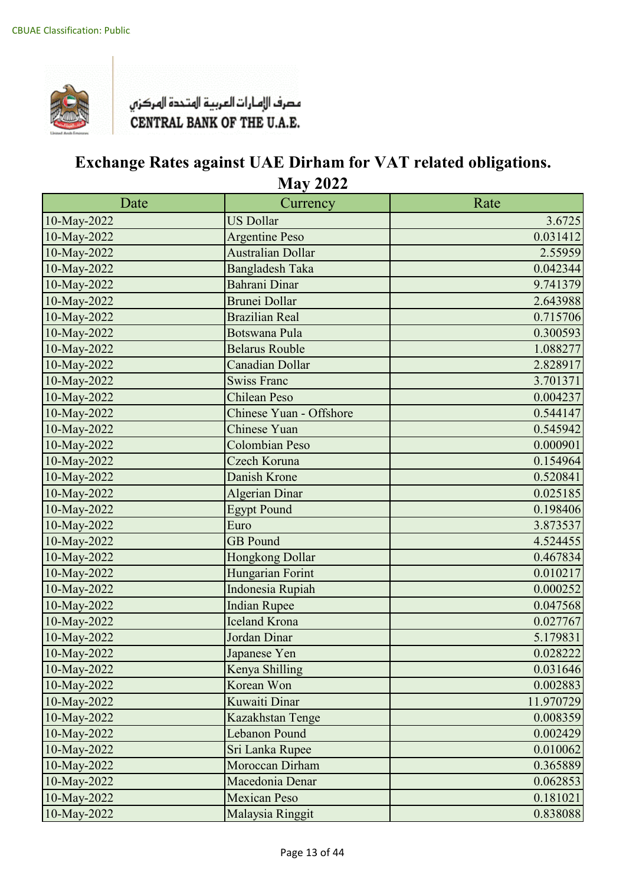

| Date        | Currency                 | Rate      |
|-------------|--------------------------|-----------|
| 10-May-2022 | <b>US Dollar</b>         | 3.6725    |
| 10-May-2022 | <b>Argentine Peso</b>    | 0.031412  |
| 10-May-2022 | <b>Australian Dollar</b> | 2.55959   |
| 10-May-2022 | <b>Bangladesh Taka</b>   | 0.042344  |
| 10-May-2022 | Bahrani Dinar            | 9.741379  |
| 10-May-2022 | <b>Brunei Dollar</b>     | 2.643988  |
| 10-May-2022 | <b>Brazilian Real</b>    | 0.715706  |
| 10-May-2022 | <b>Botswana Pula</b>     | 0.300593  |
| 10-May-2022 | <b>Belarus Rouble</b>    | 1.088277  |
| 10-May-2022 | <b>Canadian Dollar</b>   | 2.828917  |
| 10-May-2022 | <b>Swiss Franc</b>       | 3.701371  |
| 10-May-2022 | <b>Chilean Peso</b>      | 0.004237  |
| 10-May-2022 | Chinese Yuan - Offshore  | 0.544147  |
| 10-May-2022 | <b>Chinese Yuan</b>      | 0.545942  |
| 10-May-2022 | Colombian Peso           | 0.000901  |
| 10-May-2022 | Czech Koruna             | 0.154964  |
| 10-May-2022 | Danish Krone             | 0.520841  |
| 10-May-2022 | Algerian Dinar           | 0.025185  |
| 10-May-2022 | <b>Egypt Pound</b>       | 0.198406  |
| 10-May-2022 | Euro                     | 3.873537  |
| 10-May-2022 | <b>GB</b> Pound          | 4.524455  |
| 10-May-2022 | Hongkong Dollar          | 0.467834  |
| 10-May-2022 | Hungarian Forint         | 0.010217  |
| 10-May-2022 | Indonesia Rupiah         | 0.000252  |
| 10-May-2022 | <b>Indian Rupee</b>      | 0.047568  |
| 10-May-2022 | <b>Iceland Krona</b>     | 0.027767  |
| 10-May-2022 | Jordan Dinar             | 5.179831  |
| 10-May-2022 | Japanese Yen             | 0.028222  |
| 10-May-2022 | Kenya Shilling           | 0.031646  |
| 10-May-2022 | Korean Won               | 0.002883  |
| 10-May-2022 | Kuwaiti Dinar            | 11.970729 |
| 10-May-2022 | Kazakhstan Tenge         | 0.008359  |
| 10-May-2022 | Lebanon Pound            | 0.002429  |
| 10-May-2022 | Sri Lanka Rupee          | 0.010062  |
| 10-May-2022 | Moroccan Dirham          | 0.365889  |
| 10-May-2022 | Macedonia Denar          | 0.062853  |
| 10-May-2022 | <b>Mexican Peso</b>      | 0.181021  |
| 10-May-2022 | Malaysia Ringgit         | 0.838088  |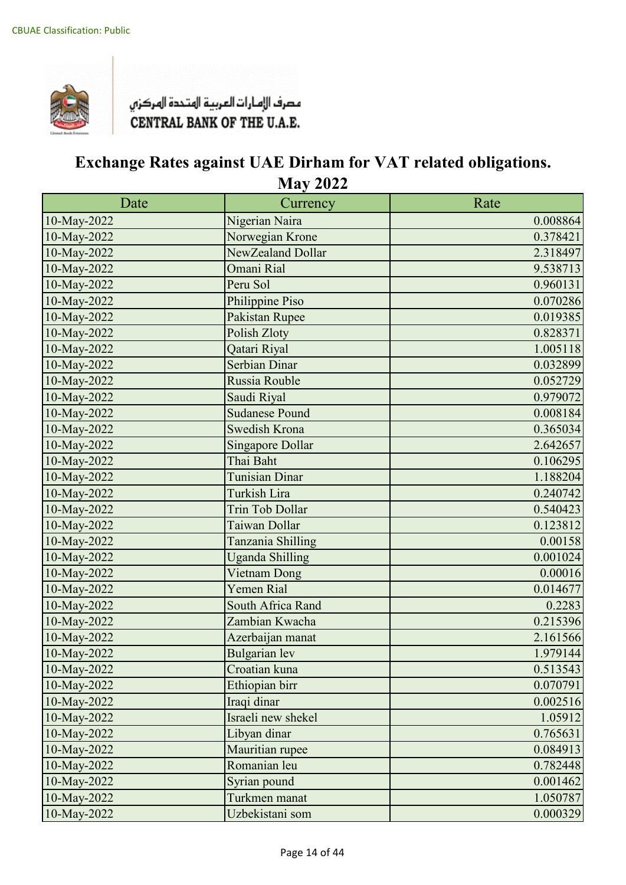

| Date        | Currency                | Rate     |
|-------------|-------------------------|----------|
| 10-May-2022 | Nigerian Naira          | 0.008864 |
| 10-May-2022 | Norwegian Krone         | 0.378421 |
| 10-May-2022 | NewZealand Dollar       | 2.318497 |
| 10-May-2022 | Omani Rial              | 9.538713 |
| 10-May-2022 | Peru Sol                | 0.960131 |
| 10-May-2022 | Philippine Piso         | 0.070286 |
| 10-May-2022 | Pakistan Rupee          | 0.019385 |
| 10-May-2022 | Polish Zloty            | 0.828371 |
| 10-May-2022 | Qatari Riyal            | 1.005118 |
| 10-May-2022 | Serbian Dinar           | 0.032899 |
| 10-May-2022 | Russia Rouble           | 0.052729 |
| 10-May-2022 | Saudi Riyal             | 0.979072 |
| 10-May-2022 | <b>Sudanese Pound</b>   | 0.008184 |
| 10-May-2022 | Swedish Krona           | 0.365034 |
| 10-May-2022 | <b>Singapore Dollar</b> | 2.642657 |
| 10-May-2022 | Thai Baht               | 0.106295 |
| 10-May-2022 | Tunisian Dinar          | 1.188204 |
| 10-May-2022 | Turkish Lira            | 0.240742 |
| 10-May-2022 | <b>Trin Tob Dollar</b>  | 0.540423 |
| 10-May-2022 | Taiwan Dollar           | 0.123812 |
| 10-May-2022 | Tanzania Shilling       | 0.00158  |
| 10-May-2022 | <b>Uganda Shilling</b>  | 0.001024 |
| 10-May-2022 | Vietnam Dong            | 0.00016  |
| 10-May-2022 | <b>Yemen Rial</b>       | 0.014677 |
| 10-May-2022 | South Africa Rand       | 0.2283   |
| 10-May-2022 | Zambian Kwacha          | 0.215396 |
| 10-May-2022 | Azerbaijan manat        | 2.161566 |
| 10-May-2022 | <b>Bulgarian</b> lev    | 1.979144 |
| 10-May-2022 | Croatian kuna           | 0.513543 |
| 10-May-2022 | Ethiopian birr          | 0.070791 |
| 10-May-2022 | Iraqi dinar             | 0.002516 |
| 10-May-2022 | Israeli new shekel      | 1.05912  |
| 10-May-2022 | Libyan dinar            | 0.765631 |
| 10-May-2022 | Mauritian rupee         | 0.084913 |
| 10-May-2022 | Romanian leu            | 0.782448 |
| 10-May-2022 | Syrian pound            | 0.001462 |
| 10-May-2022 | Turkmen manat           | 1.050787 |
| 10-May-2022 | Uzbekistani som         | 0.000329 |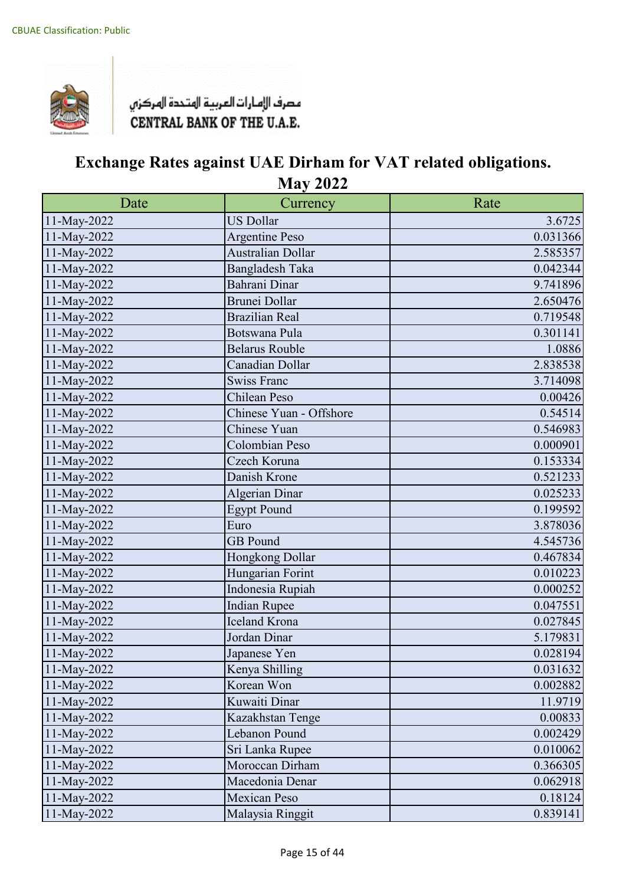

| Date        | Currency                 | Rate     |
|-------------|--------------------------|----------|
| 11-May-2022 | <b>US Dollar</b>         | 3.6725   |
| 11-May-2022 | Argentine Peso           | 0.031366 |
| 11-May-2022 | <b>Australian Dollar</b> | 2.585357 |
| 11-May-2022 | Bangladesh Taka          | 0.042344 |
| 11-May-2022 | Bahrani Dinar            | 9.741896 |
| 11-May-2022 | <b>Brunei Dollar</b>     | 2.650476 |
| 11-May-2022 | <b>Brazilian Real</b>    | 0.719548 |
| 11-May-2022 | Botswana Pula            | 0.301141 |
| 11-May-2022 | <b>Belarus Rouble</b>    | 1.0886   |
| 11-May-2022 | Canadian Dollar          | 2.838538 |
| 11-May-2022 | <b>Swiss Franc</b>       | 3.714098 |
| 11-May-2022 | Chilean Peso             | 0.00426  |
| 11-May-2022 | Chinese Yuan - Offshore  | 0.54514  |
| 11-May-2022 | Chinese Yuan             | 0.546983 |
| 11-May-2022 | Colombian Peso           | 0.000901 |
| 11-May-2022 | Czech Koruna             | 0.153334 |
| 11-May-2022 | Danish Krone             | 0.521233 |
| 11-May-2022 | Algerian Dinar           | 0.025233 |
| 11-May-2022 | <b>Egypt Pound</b>       | 0.199592 |
| 11-May-2022 | Euro                     | 3.878036 |
| 11-May-2022 | <b>GB</b> Pound          | 4.545736 |
| 11-May-2022 | Hongkong Dollar          | 0.467834 |
| 11-May-2022 | Hungarian Forint         | 0.010223 |
| 11-May-2022 | Indonesia Rupiah         | 0.000252 |
| 11-May-2022 | <b>Indian Rupee</b>      | 0.047551 |
| 11-May-2022 | <b>Iceland Krona</b>     | 0.027845 |
| 11-May-2022 | Jordan Dinar             | 5.179831 |
| 11-May-2022 | Japanese Yen             | 0.028194 |
| 11-May-2022 | Kenya Shilling           | 0.031632 |
| 11-May-2022 | Korean Won               | 0.002882 |
| 11-May-2022 | Kuwaiti Dinar            | 11.9719  |
| 11-May-2022 | Kazakhstan Tenge         | 0.00833  |
| 11-May-2022 | Lebanon Pound            | 0.002429 |
| 11-May-2022 | Sri Lanka Rupee          | 0.010062 |
| 11-May-2022 | Moroccan Dirham          | 0.366305 |
| 11-May-2022 | Macedonia Denar          | 0.062918 |
| 11-May-2022 | <b>Mexican Peso</b>      | 0.18124  |
| 11-May-2022 | Malaysia Ringgit         | 0.839141 |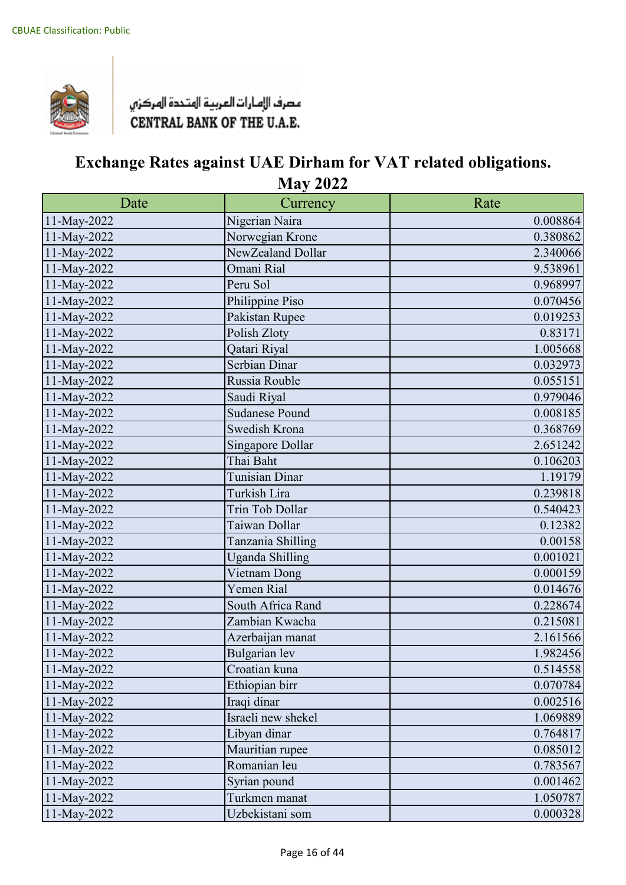

| Date        | Currency               | Rate     |
|-------------|------------------------|----------|
| 11-May-2022 | Nigerian Naira         | 0.008864 |
| 11-May-2022 | Norwegian Krone        | 0.380862 |
| 11-May-2022 | NewZealand Dollar      | 2.340066 |
| 11-May-2022 | Omani Rial             | 9.538961 |
| 11-May-2022 | Peru Sol               | 0.968997 |
| 11-May-2022 | Philippine Piso        | 0.070456 |
| 11-May-2022 | Pakistan Rupee         | 0.019253 |
| 11-May-2022 | Polish Zloty           | 0.83171  |
| 11-May-2022 | Qatari Riyal           | 1.005668 |
| 11-May-2022 | Serbian Dinar          | 0.032973 |
| 11-May-2022 | Russia Rouble          | 0.055151 |
| 11-May-2022 | Saudi Riyal            | 0.979046 |
| 11-May-2022 | <b>Sudanese Pound</b>  | 0.008185 |
| 11-May-2022 | Swedish Krona          | 0.368769 |
| 11-May-2022 | Singapore Dollar       | 2.651242 |
| 11-May-2022 | Thai Baht              | 0.106203 |
| 11-May-2022 | Tunisian Dinar         | 1.19179  |
| 11-May-2022 | Turkish Lira           | 0.239818 |
| 11-May-2022 | Trin Tob Dollar        | 0.540423 |
| 11-May-2022 | Taiwan Dollar          | 0.12382  |
| 11-May-2022 | Tanzania Shilling      | 0.00158  |
| 11-May-2022 | <b>Uganda Shilling</b> | 0.001021 |
| 11-May-2022 | Vietnam Dong           | 0.000159 |
| 11-May-2022 | Yemen Rial             | 0.014676 |
| 11-May-2022 | South Africa Rand      | 0.228674 |
| 11-May-2022 | Zambian Kwacha         | 0.215081 |
| 11-May-2022 | Azerbaijan manat       | 2.161566 |
| 11-May-2022 | <b>Bulgarian</b> lev   | 1.982456 |
| 11-May-2022 | Croatian kuna          | 0.514558 |
| 11-May-2022 | Ethiopian birr         | 0.070784 |
| 11-May-2022 | Iraqi dinar            | 0.002516 |
| 11-May-2022 | Israeli new shekel     | 1.069889 |
| 11-May-2022 | Libyan dinar           | 0.764817 |
| 11-May-2022 | Mauritian rupee        | 0.085012 |
| 11-May-2022 | Romanian leu           | 0.783567 |
| 11-May-2022 | Syrian pound           | 0.001462 |
| 11-May-2022 | Turkmen manat          | 1.050787 |
| 11-May-2022 | Uzbekistani som        | 0.000328 |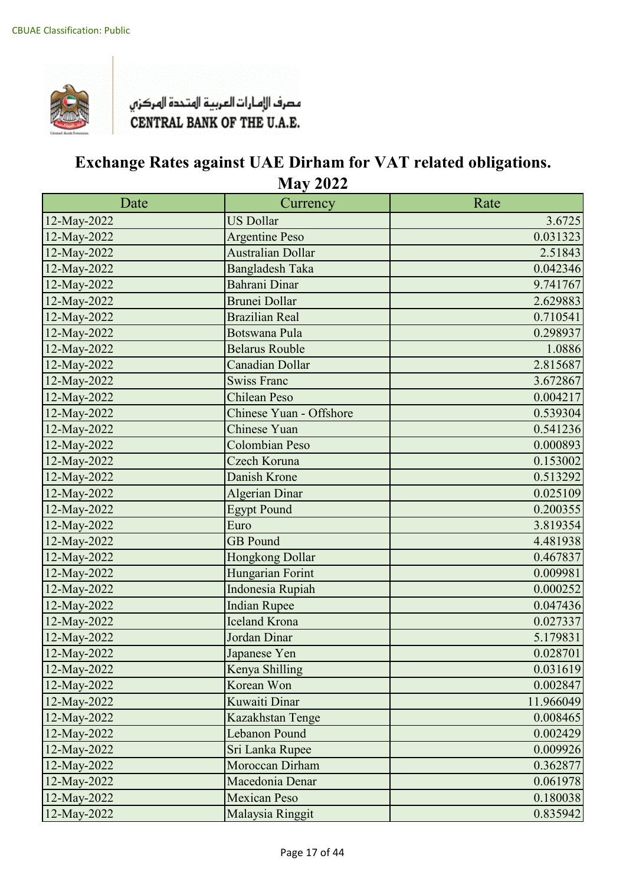

| Date        | Currency                 | Rate      |
|-------------|--------------------------|-----------|
| 12-May-2022 | <b>US Dollar</b>         | 3.6725    |
| 12-May-2022 | <b>Argentine Peso</b>    | 0.031323  |
| 12-May-2022 | <b>Australian Dollar</b> | 2.51843   |
| 12-May-2022 | <b>Bangladesh Taka</b>   | 0.042346  |
| 12-May-2022 | Bahrani Dinar            | 9.741767  |
| 12-May-2022 | <b>Brunei Dollar</b>     | 2.629883  |
| 12-May-2022 | <b>Brazilian Real</b>    | 0.710541  |
| 12-May-2022 | <b>Botswana Pula</b>     | 0.298937  |
| 12-May-2022 | <b>Belarus Rouble</b>    | 1.0886    |
| 12-May-2022 | <b>Canadian Dollar</b>   | 2.815687  |
| 12-May-2022 | <b>Swiss Franc</b>       | 3.672867  |
| 12-May-2022 | <b>Chilean Peso</b>      | 0.004217  |
| 12-May-2022 | Chinese Yuan - Offshore  | 0.539304  |
| 12-May-2022 | <b>Chinese Yuan</b>      | 0.541236  |
| 12-May-2022 | <b>Colombian Peso</b>    | 0.000893  |
| 12-May-2022 | Czech Koruna             | 0.153002  |
| 12-May-2022 | Danish Krone             | 0.513292  |
| 12-May-2022 | <b>Algerian Dinar</b>    | 0.025109  |
| 12-May-2022 | <b>Egypt Pound</b>       | 0.200355  |
| 12-May-2022 | Euro                     | 3.819354  |
| 12-May-2022 | <b>GB</b> Pound          | 4.481938  |
| 12-May-2022 | Hongkong Dollar          | 0.467837  |
| 12-May-2022 | Hungarian Forint         | 0.009981  |
| 12-May-2022 | Indonesia Rupiah         | 0.000252  |
| 12-May-2022 | <b>Indian Rupee</b>      | 0.047436  |
| 12-May-2022 | <b>Iceland Krona</b>     | 0.027337  |
| 12-May-2022 | Jordan Dinar             | 5.179831  |
| 12-May-2022 | Japanese Yen             | 0.028701  |
| 12-May-2022 | Kenya Shilling           | 0.031619  |
| 12-May-2022 | Korean Won               | 0.002847  |
| 12-May-2022 | Kuwaiti Dinar            | 11.966049 |
| 12-May-2022 | Kazakhstan Tenge         | 0.008465  |
| 12-May-2022 | Lebanon Pound            | 0.002429  |
| 12-May-2022 | Sri Lanka Rupee          | 0.009926  |
| 12-May-2022 | Moroccan Dirham          | 0.362877  |
| 12-May-2022 | Macedonia Denar          | 0.061978  |
| 12-May-2022 | <b>Mexican Peso</b>      | 0.180038  |
| 12-May-2022 | Malaysia Ringgit         | 0.835942  |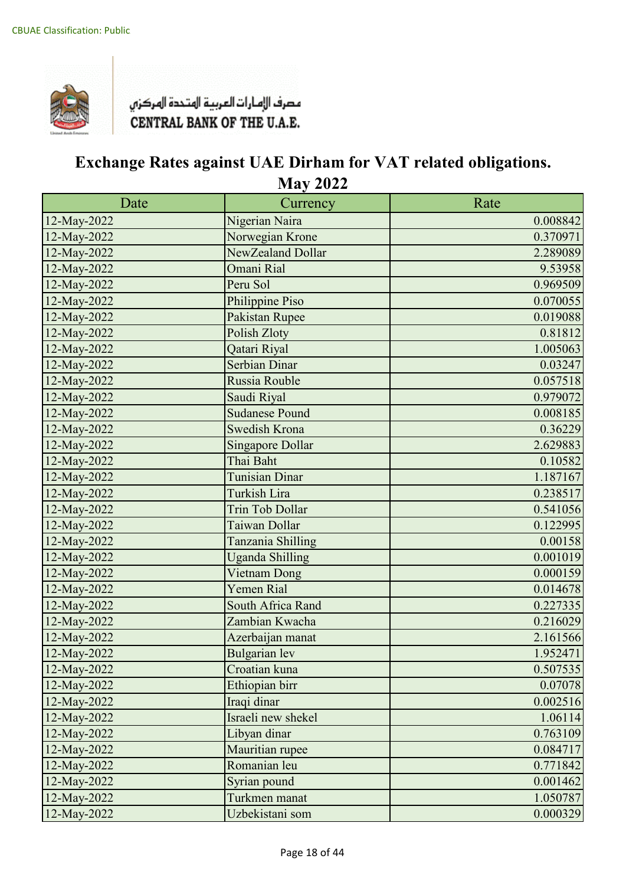

| Date        | Currency                | Rate     |
|-------------|-------------------------|----------|
| 12-May-2022 | Nigerian Naira          | 0.008842 |
| 12-May-2022 | Norwegian Krone         | 0.370971 |
| 12-May-2022 | NewZealand Dollar       | 2.289089 |
| 12-May-2022 | Omani Rial              | 9.53958  |
| 12-May-2022 | Peru Sol                | 0.969509 |
| 12-May-2022 | Philippine Piso         | 0.070055 |
| 12-May-2022 | Pakistan Rupee          | 0.019088 |
| 12-May-2022 | Polish Zloty            | 0.81812  |
| 12-May-2022 | Qatari Riyal            | 1.005063 |
| 12-May-2022 | Serbian Dinar           | 0.03247  |
| 12-May-2022 | Russia Rouble           | 0.057518 |
| 12-May-2022 | Saudi Riyal             | 0.979072 |
| 12-May-2022 | <b>Sudanese Pound</b>   | 0.008185 |
| 12-May-2022 | <b>Swedish Krona</b>    | 0.36229  |
| 12-May-2022 | <b>Singapore Dollar</b> | 2.629883 |
| 12-May-2022 | Thai Baht               | 0.10582  |
| 12-May-2022 | <b>Tunisian Dinar</b>   | 1.187167 |
| 12-May-2022 | Turkish Lira            | 0.238517 |
| 12-May-2022 | <b>Trin Tob Dollar</b>  | 0.541056 |
| 12-May-2022 | Taiwan Dollar           | 0.122995 |
| 12-May-2022 | Tanzania Shilling       | 0.00158  |
| 12-May-2022 | <b>Uganda Shilling</b>  | 0.001019 |
| 12-May-2022 | Vietnam Dong            | 0.000159 |
| 12-May-2022 | <b>Yemen Rial</b>       | 0.014678 |
| 12-May-2022 | South Africa Rand       | 0.227335 |
| 12-May-2022 | Zambian Kwacha          | 0.216029 |
| 12-May-2022 | Azerbaijan manat        | 2.161566 |
| 12-May-2022 | <b>Bulgarian</b> lev    | 1.952471 |
| 12-May-2022 | Croatian kuna           | 0.507535 |
| 12-May-2022 | Ethiopian birr          | 0.07078  |
| 12-May-2022 | Iraqi dinar             | 0.002516 |
| 12-May-2022 | Israeli new shekel      | 1.06114  |
| 12-May-2022 | Libyan dinar            | 0.763109 |
| 12-May-2022 | Mauritian rupee         | 0.084717 |
| 12-May-2022 | Romanian leu            | 0.771842 |
| 12-May-2022 | Syrian pound            | 0.001462 |
| 12-May-2022 | Turkmen manat           | 1.050787 |
| 12-May-2022 | Uzbekistani som         | 0.000329 |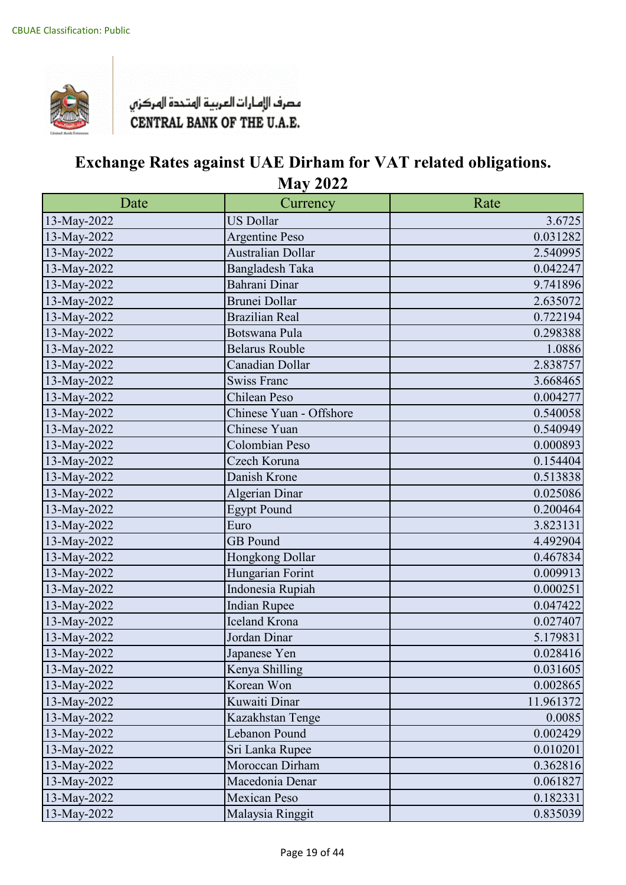

| Date        | Currency                 | Rate      |
|-------------|--------------------------|-----------|
| 13-May-2022 | <b>US Dollar</b>         | 3.6725    |
| 13-May-2022 | Argentine Peso           | 0.031282  |
| 13-May-2022 | <b>Australian Dollar</b> | 2.540995  |
| 13-May-2022 | Bangladesh Taka          | 0.042247  |
| 13-May-2022 | Bahrani Dinar            | 9.741896  |
| 13-May-2022 | <b>Brunei Dollar</b>     | 2.635072  |
| 13-May-2022 | <b>Brazilian Real</b>    | 0.722194  |
| 13-May-2022 | Botswana Pula            | 0.298388  |
| 13-May-2022 | <b>Belarus Rouble</b>    | 1.0886    |
| 13-May-2022 | Canadian Dollar          | 2.838757  |
| 13-May-2022 | <b>Swiss Franc</b>       | 3.668465  |
| 13-May-2022 | Chilean Peso             | 0.004277  |
| 13-May-2022 | Chinese Yuan - Offshore  | 0.540058  |
| 13-May-2022 | Chinese Yuan             | 0.540949  |
| 13-May-2022 | Colombian Peso           | 0.000893  |
| 13-May-2022 | Czech Koruna             | 0.154404  |
| 13-May-2022 | Danish Krone             | 0.513838  |
| 13-May-2022 | Algerian Dinar           | 0.025086  |
| 13-May-2022 | <b>Egypt Pound</b>       | 0.200464  |
| 13-May-2022 | Euro                     | 3.823131  |
| 13-May-2022 | <b>GB</b> Pound          | 4.492904  |
| 13-May-2022 | Hongkong Dollar          | 0.467834  |
| 13-May-2022 | Hungarian Forint         | 0.009913  |
| 13-May-2022 | Indonesia Rupiah         | 0.000251  |
| 13-May-2022 | <b>Indian Rupee</b>      | 0.047422  |
| 13-May-2022 | Iceland Krona            | 0.027407  |
| 13-May-2022 | Jordan Dinar             | 5.179831  |
| 13-May-2022 | Japanese Yen             | 0.028416  |
| 13-May-2022 | Kenya Shilling           | 0.031605  |
| 13-May-2022 | Korean Won               | 0.002865  |
| 13-May-2022 | Kuwaiti Dinar            | 11.961372 |
| 13-May-2022 | Kazakhstan Tenge         | 0.0085    |
| 13-May-2022 | Lebanon Pound            | 0.002429  |
| 13-May-2022 | Sri Lanka Rupee          | 0.010201  |
| 13-May-2022 | Moroccan Dirham          | 0.362816  |
| 13-May-2022 | Macedonia Denar          | 0.061827  |
| 13-May-2022 | <b>Mexican Peso</b>      | 0.182331  |
| 13-May-2022 | Malaysia Ringgit         | 0.835039  |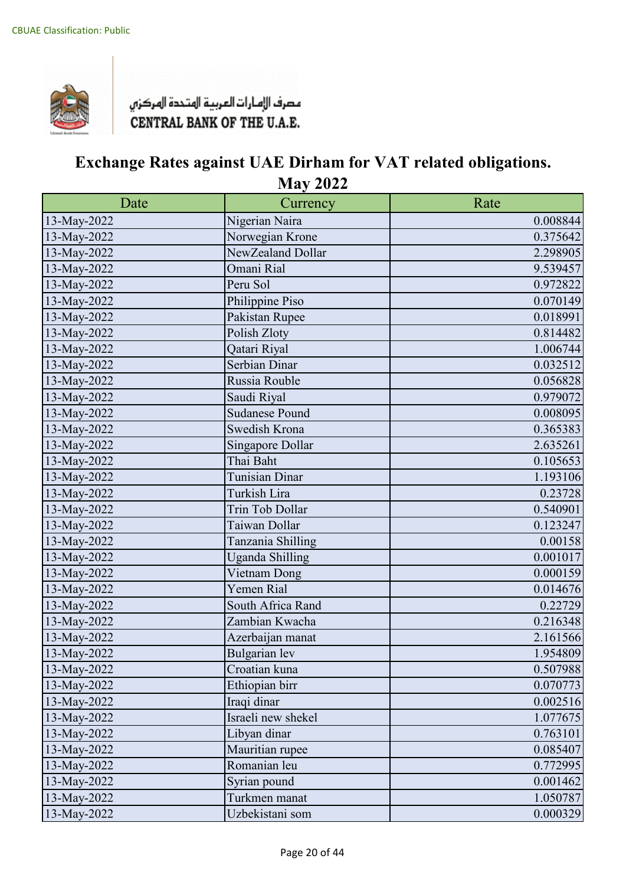

| Date        | Currency               | Rate     |
|-------------|------------------------|----------|
| 13-May-2022 | Nigerian Naira         | 0.008844 |
| 13-May-2022 | Norwegian Krone        | 0.375642 |
| 13-May-2022 | NewZealand Dollar      | 2.298905 |
| 13-May-2022 | Omani Rial             | 9.539457 |
| 13-May-2022 | Peru Sol               | 0.972822 |
| 13-May-2022 | Philippine Piso        | 0.070149 |
| 13-May-2022 | Pakistan Rupee         | 0.018991 |
| 13-May-2022 | Polish Zloty           | 0.814482 |
| 13-May-2022 | Qatari Riyal           | 1.006744 |
| 13-May-2022 | Serbian Dinar          | 0.032512 |
| 13-May-2022 | Russia Rouble          | 0.056828 |
| 13-May-2022 | Saudi Riyal            | 0.979072 |
| 13-May-2022 | <b>Sudanese Pound</b>  | 0.008095 |
| 13-May-2022 | Swedish Krona          | 0.365383 |
| 13-May-2022 | Singapore Dollar       | 2.635261 |
| 13-May-2022 | Thai Baht              | 0.105653 |
| 13-May-2022 | <b>Tunisian Dinar</b>  | 1.193106 |
| 13-May-2022 | Turkish Lira           | 0.23728  |
| 13-May-2022 | Trin Tob Dollar        | 0.540901 |
| 13-May-2022 | Taiwan Dollar          | 0.123247 |
| 13-May-2022 | Tanzania Shilling      | 0.00158  |
| 13-May-2022 | <b>Uganda Shilling</b> | 0.001017 |
| 13-May-2022 | Vietnam Dong           | 0.000159 |
| 13-May-2022 | Yemen Rial             | 0.014676 |
| 13-May-2022 | South Africa Rand      | 0.22729  |
| 13-May-2022 | Zambian Kwacha         | 0.216348 |
| 13-May-2022 | Azerbaijan manat       | 2.161566 |
| 13-May-2022 | Bulgarian lev          | 1.954809 |
| 13-May-2022 | Croatian kuna          | 0.507988 |
| 13-May-2022 | Ethiopian birr         | 0.070773 |
| 13-May-2022 | Iraqi dinar            | 0.002516 |
| 13-May-2022 | Israeli new shekel     | 1.077675 |
| 13-May-2022 | Libyan dinar           | 0.763101 |
| 13-May-2022 | Mauritian rupee        | 0.085407 |
| 13-May-2022 | Romanian leu           | 0.772995 |
| 13-May-2022 | Syrian pound           | 0.001462 |
| 13-May-2022 | Turkmen manat          | 1.050787 |
| 13-May-2022 | Uzbekistani som        | 0.000329 |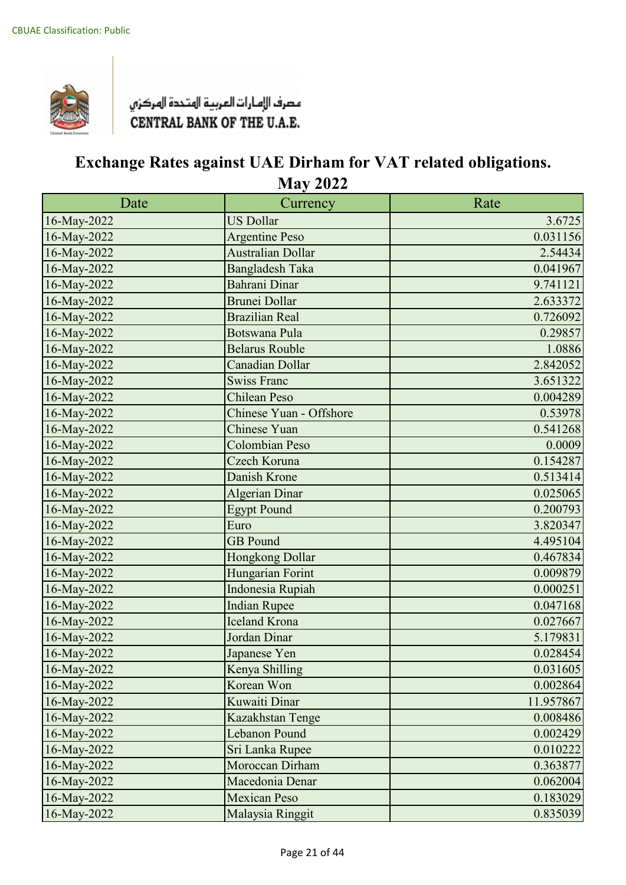

| Date        | Currency                 | Rate      |
|-------------|--------------------------|-----------|
| 16-May-2022 | <b>US Dollar</b>         | 3.6725    |
| 16-May-2022 | <b>Argentine Peso</b>    | 0.031156  |
| 16-May-2022 | <b>Australian Dollar</b> | 2.54434   |
| 16-May-2022 | <b>Bangladesh Taka</b>   | 0.041967  |
| 16-May-2022 | Bahrani Dinar            | 9.741121  |
| 16-May-2022 | <b>Brunei Dollar</b>     | 2.633372  |
| 16-May-2022 | <b>Brazilian Real</b>    | 0.726092  |
| 16-May-2022 | <b>Botswana Pula</b>     | 0.29857   |
| 16-May-2022 | <b>Belarus Rouble</b>    | 1.0886    |
| 16-May-2022 | <b>Canadian Dollar</b>   | 2.842052  |
| 16-May-2022 | <b>Swiss Franc</b>       | 3.651322  |
| 16-May-2022 | <b>Chilean Peso</b>      | 0.004289  |
| 16-May-2022 | Chinese Yuan - Offshore  | 0.53978   |
| 16-May-2022 | Chinese Yuan             | 0.541268  |
| 16-May-2022 | Colombian Peso           | 0.0009    |
| 16-May-2022 | Czech Koruna             | 0.154287  |
| 16-May-2022 | Danish Krone             | 0.513414  |
| 16-May-2022 | <b>Algerian Dinar</b>    | 0.025065  |
| 16-May-2022 | <b>Egypt Pound</b>       | 0.200793  |
| 16-May-2022 | Euro                     | 3.820347  |
| 16-May-2022 | <b>GB</b> Pound          | 4.495104  |
| 16-May-2022 | Hongkong Dollar          | 0.467834  |
| 16-May-2022 | Hungarian Forint         | 0.009879  |
| 16-May-2022 | Indonesia Rupiah         | 0.000251  |
| 16-May-2022 | <b>Indian Rupee</b>      | 0.047168  |
| 16-May-2022 | Iceland Krona            | 0.027667  |
| 16-May-2022 | Jordan Dinar             | 5.179831  |
| 16-May-2022 | Japanese Yen             | 0.028454  |
| 16-May-2022 | Kenya Shilling           | 0.031605  |
| 16-May-2022 | Korean Won               | 0.002864  |
| 16-May-2022 | Kuwaiti Dinar            | 11.957867 |
| 16-May-2022 | Kazakhstan Tenge         | 0.008486  |
| 16-May-2022 | <b>Lebanon Pound</b>     | 0.002429  |
| 16-May-2022 | Sri Lanka Rupee          | 0.010222  |
| 16-May-2022 | Moroccan Dirham          | 0.363877  |
| 16-May-2022 | Macedonia Denar          | 0.062004  |
| 16-May-2022 | <b>Mexican Peso</b>      | 0.183029  |
| 16-May-2022 | Malaysia Ringgit         | 0.835039  |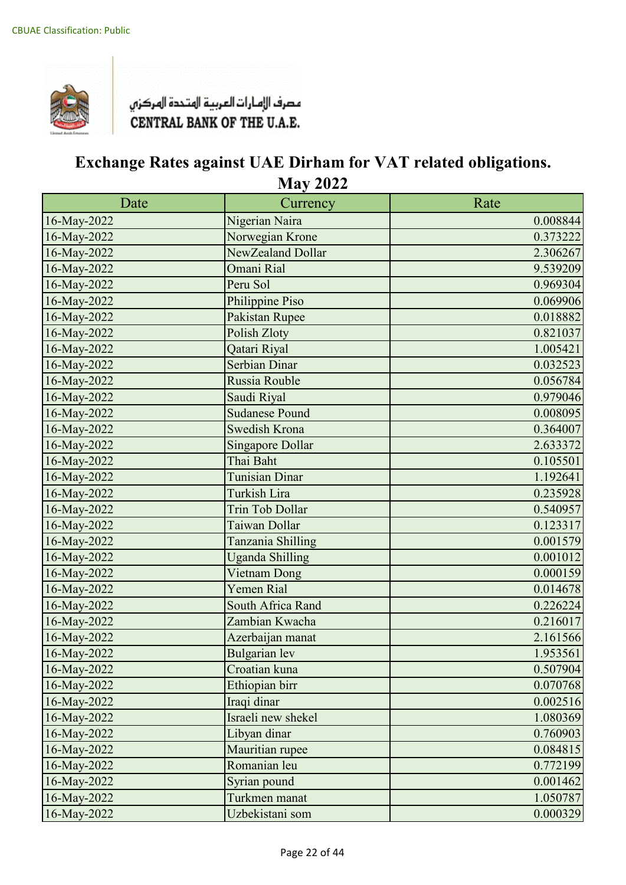

| Date        | Currency                | Rate     |
|-------------|-------------------------|----------|
| 16-May-2022 | Nigerian Naira          | 0.008844 |
| 16-May-2022 | Norwegian Krone         | 0.373222 |
| 16-May-2022 | NewZealand Dollar       | 2.306267 |
| 16-May-2022 | Omani Rial              | 9.539209 |
| 16-May-2022 | Peru Sol                | 0.969304 |
| 16-May-2022 | Philippine Piso         | 0.069906 |
| 16-May-2022 | Pakistan Rupee          | 0.018882 |
| 16-May-2022 | Polish Zloty            | 0.821037 |
| 16-May-2022 | Qatari Riyal            | 1.005421 |
| 16-May-2022 | Serbian Dinar           | 0.032523 |
| 16-May-2022 | Russia Rouble           | 0.056784 |
| 16-May-2022 | Saudi Riyal             | 0.979046 |
| 16-May-2022 | <b>Sudanese Pound</b>   | 0.008095 |
| 16-May-2022 | <b>Swedish Krona</b>    | 0.364007 |
| 16-May-2022 | <b>Singapore Dollar</b> | 2.633372 |
| 16-May-2022 | Thai Baht               | 0.105501 |
| 16-May-2022 | <b>Tunisian Dinar</b>   | 1.192641 |
| 16-May-2022 | Turkish Lira            | 0.235928 |
| 16-May-2022 | <b>Trin Tob Dollar</b>  | 0.540957 |
| 16-May-2022 | Taiwan Dollar           | 0.123317 |
| 16-May-2022 | Tanzania Shilling       | 0.001579 |
| 16-May-2022 | <b>Uganda Shilling</b>  | 0.001012 |
| 16-May-2022 | Vietnam Dong            | 0.000159 |
| 16-May-2022 | <b>Yemen Rial</b>       | 0.014678 |
| 16-May-2022 | South Africa Rand       | 0.226224 |
| 16-May-2022 | Zambian Kwacha          | 0.216017 |
| 16-May-2022 | Azerbaijan manat        | 2.161566 |
| 16-May-2022 | <b>Bulgarian</b> lev    | 1.953561 |
| 16-May-2022 | Croatian kuna           | 0.507904 |
| 16-May-2022 | Ethiopian birr          | 0.070768 |
| 16-May-2022 | Iraqi dinar             | 0.002516 |
| 16-May-2022 | Israeli new shekel      | 1.080369 |
| 16-May-2022 | Libyan dinar            | 0.760903 |
| 16-May-2022 | Mauritian rupee         | 0.084815 |
| 16-May-2022 | Romanian leu            | 0.772199 |
| 16-May-2022 | Syrian pound            | 0.001462 |
| 16-May-2022 | Turkmen manat           | 1.050787 |
| 16-May-2022 | Uzbekistani som         | 0.000329 |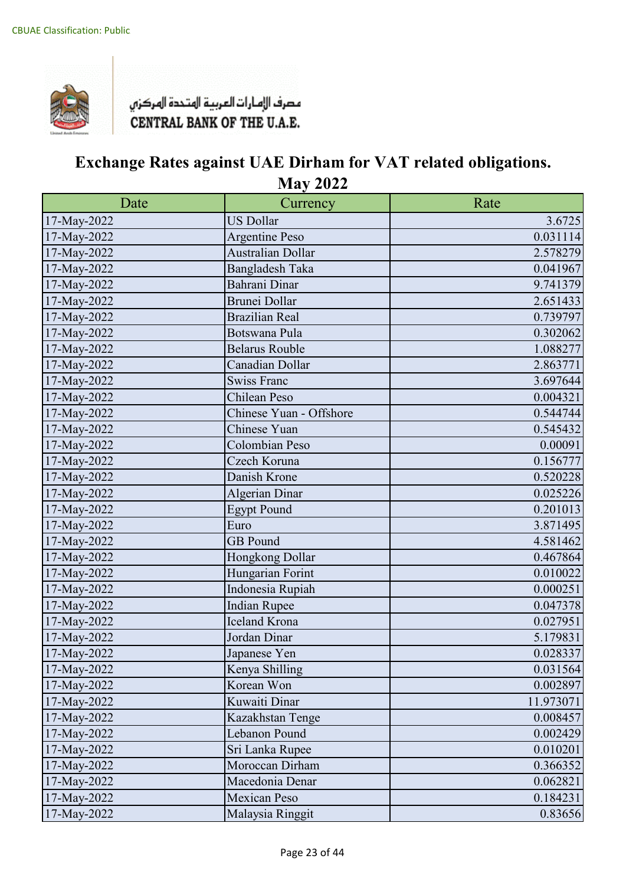

| Date        | Currency                 | Rate      |
|-------------|--------------------------|-----------|
| 17-May-2022 | <b>US Dollar</b>         | 3.6725    |
| 17-May-2022 | <b>Argentine Peso</b>    | 0.031114  |
| 17-May-2022 | <b>Australian Dollar</b> | 2.578279  |
| 17-May-2022 | Bangladesh Taka          | 0.041967  |
| 17-May-2022 | Bahrani Dinar            | 9.741379  |
| 17-May-2022 | <b>Brunei Dollar</b>     | 2.651433  |
| 17-May-2022 | <b>Brazilian Real</b>    | 0.739797  |
| 17-May-2022 | Botswana Pula            | 0.302062  |
| 17-May-2022 | <b>Belarus Rouble</b>    | 1.088277  |
| 17-May-2022 | Canadian Dollar          | 2.863771  |
| 17-May-2022 | <b>Swiss Franc</b>       | 3.697644  |
| 17-May-2022 | Chilean Peso             | 0.004321  |
| 17-May-2022 | Chinese Yuan - Offshore  | 0.544744  |
| 17-May-2022 | Chinese Yuan             | 0.545432  |
| 17-May-2022 | Colombian Peso           | 0.00091   |
| 17-May-2022 | Czech Koruna             | 0.156777  |
| 17-May-2022 | Danish Krone             | 0.520228  |
| 17-May-2022 | <b>Algerian Dinar</b>    | 0.025226  |
| 17-May-2022 | <b>Egypt Pound</b>       | 0.201013  |
| 17-May-2022 | Euro                     | 3.871495  |
| 17-May-2022 | <b>GB</b> Pound          | 4.581462  |
| 17-May-2022 | Hongkong Dollar          | 0.467864  |
| 17-May-2022 | Hungarian Forint         | 0.010022  |
| 17-May-2022 | Indonesia Rupiah         | 0.000251  |
| 17-May-2022 | <b>Indian Rupee</b>      | 0.047378  |
| 17-May-2022 | Iceland Krona            | 0.027951  |
| 17-May-2022 | Jordan Dinar             | 5.179831  |
| 17-May-2022 | Japanese Yen             | 0.028337  |
| 17-May-2022 | Kenya Shilling           | 0.031564  |
| 17-May-2022 | Korean Won               | 0.002897  |
| 17-May-2022 | Kuwaiti Dinar            | 11.973071 |
| 17-May-2022 | Kazakhstan Tenge         | 0.008457  |
| 17-May-2022 | Lebanon Pound            | 0.002429  |
| 17-May-2022 | Sri Lanka Rupee          | 0.010201  |
| 17-May-2022 | Moroccan Dirham          | 0.366352  |
| 17-May-2022 | Macedonia Denar          | 0.062821  |
| 17-May-2022 | <b>Mexican Peso</b>      | 0.184231  |
| 17-May-2022 | Malaysia Ringgit         | 0.83656   |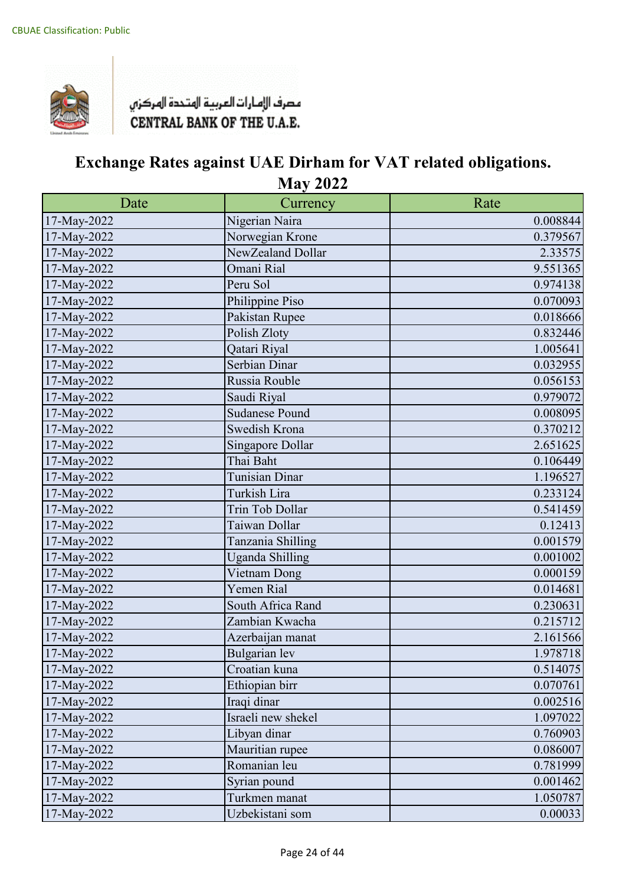

| Date        | Currency               | Rate     |
|-------------|------------------------|----------|
| 17-May-2022 | Nigerian Naira         | 0.008844 |
| 17-May-2022 | Norwegian Krone        | 0.379567 |
| 17-May-2022 | NewZealand Dollar      | 2.33575  |
| 17-May-2022 | Omani Rial             | 9.551365 |
| 17-May-2022 | Peru Sol               | 0.974138 |
| 17-May-2022 | Philippine Piso        | 0.070093 |
| 17-May-2022 | Pakistan Rupee         | 0.018666 |
| 17-May-2022 | Polish Zloty           | 0.832446 |
| 17-May-2022 | Qatari Riyal           | 1.005641 |
| 17-May-2022 | Serbian Dinar          | 0.032955 |
| 17-May-2022 | Russia Rouble          | 0.056153 |
| 17-May-2022 | Saudi Riyal            | 0.979072 |
| 17-May-2022 | <b>Sudanese Pound</b>  | 0.008095 |
| 17-May-2022 | Swedish Krona          | 0.370212 |
| 17-May-2022 | Singapore Dollar       | 2.651625 |
| 17-May-2022 | Thai Baht              | 0.106449 |
| 17-May-2022 | <b>Tunisian Dinar</b>  | 1.196527 |
| 17-May-2022 | Turkish Lira           | 0.233124 |
| 17-May-2022 | Trin Tob Dollar        | 0.541459 |
| 17-May-2022 | Taiwan Dollar          | 0.12413  |
| 17-May-2022 | Tanzania Shilling      | 0.001579 |
| 17-May-2022 | <b>Uganda Shilling</b> | 0.001002 |
| 17-May-2022 | Vietnam Dong           | 0.000159 |
| 17-May-2022 | Yemen Rial             | 0.014681 |
| 17-May-2022 | South Africa Rand      | 0.230631 |
| 17-May-2022 | Zambian Kwacha         | 0.215712 |
| 17-May-2022 | Azerbaijan manat       | 2.161566 |
| 17-May-2022 | Bulgarian lev          | 1.978718 |
| 17-May-2022 | Croatian kuna          | 0.514075 |
| 17-May-2022 | Ethiopian birr         | 0.070761 |
| 17-May-2022 | Iraqi dinar            | 0.002516 |
| 17-May-2022 | Israeli new shekel     | 1.097022 |
| 17-May-2022 | Libyan dinar           | 0.760903 |
| 17-May-2022 | Mauritian rupee        | 0.086007 |
| 17-May-2022 | Romanian leu           | 0.781999 |
| 17-May-2022 | Syrian pound           | 0.001462 |
| 17-May-2022 | Turkmen manat          | 1.050787 |
| 17-May-2022 | Uzbekistani som        | 0.00033  |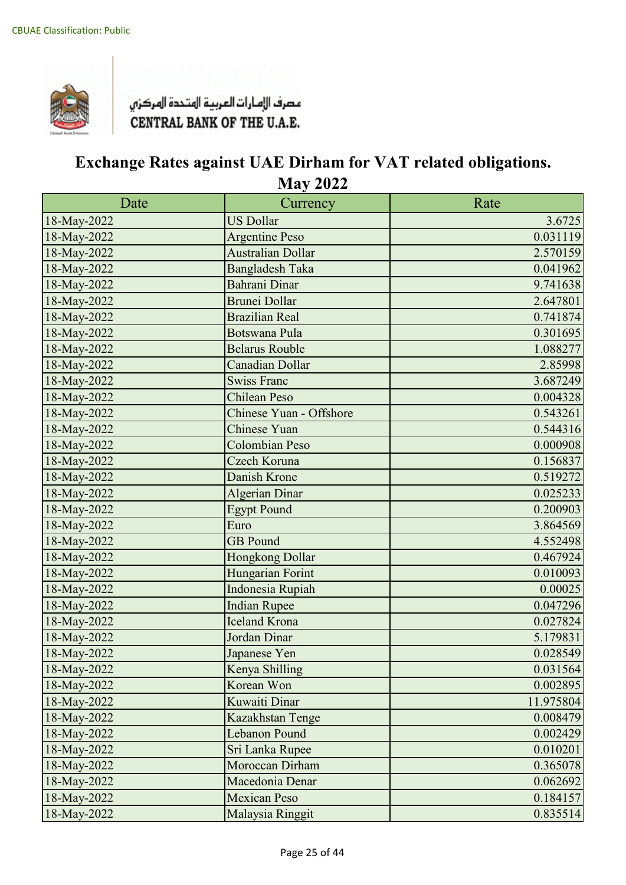

| Date        | Currency                 | Rate      |
|-------------|--------------------------|-----------|
| 18-May-2022 | <b>US Dollar</b>         | 3.6725    |
| 18-May-2022 | <b>Argentine Peso</b>    | 0.031119  |
| 18-May-2022 | <b>Australian Dollar</b> | 2.570159  |
| 18-May-2022 | <b>Bangladesh Taka</b>   | 0.041962  |
| 18-May-2022 | Bahrani Dinar            | 9.741638  |
| 18-May-2022 | <b>Brunei Dollar</b>     | 2.647801  |
| 18-May-2022 | <b>Brazilian Real</b>    | 0.741874  |
| 18-May-2022 | <b>Botswana Pula</b>     | 0.301695  |
| 18-May-2022 | <b>Belarus Rouble</b>    | 1.088277  |
| 18-May-2022 | <b>Canadian Dollar</b>   | 2.85998   |
| 18-May-2022 | <b>Swiss Franc</b>       | 3.687249  |
| 18-May-2022 | <b>Chilean Peso</b>      | 0.004328  |
| 18-May-2022 | Chinese Yuan - Offshore  | 0.543261  |
| 18-May-2022 | <b>Chinese Yuan</b>      | 0.544316  |
| 18-May-2022 | <b>Colombian Peso</b>    | 0.000908  |
| 18-May-2022 | Czech Koruna             | 0.156837  |
| 18-May-2022 | Danish Krone             | 0.519272  |
| 18-May-2022 | <b>Algerian Dinar</b>    | 0.025233  |
| 18-May-2022 | <b>Egypt Pound</b>       | 0.200903  |
| 18-May-2022 | Euro                     | 3.864569  |
| 18-May-2022 | <b>GB</b> Pound          | 4.552498  |
| 18-May-2022 | Hongkong Dollar          | 0.467924  |
| 18-May-2022 | Hungarian Forint         | 0.010093  |
| 18-May-2022 | Indonesia Rupiah         | 0.00025   |
| 18-May-2022 | <b>Indian Rupee</b>      | 0.047296  |
| 18-May-2022 | <b>Iceland Krona</b>     | 0.027824  |
| 18-May-2022 | Jordan Dinar             | 5.179831  |
| 18-May-2022 | Japanese Yen             | 0.028549  |
| 18-May-2022 | Kenya Shilling           | 0.031564  |
| 18-May-2022 | Korean Won               | 0.002895  |
| 18-May-2022 | Kuwaiti Dinar            | 11.975804 |
| 18-May-2022 | Kazakhstan Tenge         | 0.008479  |
| 18-May-2022 | Lebanon Pound            | 0.002429  |
| 18-May-2022 | Sri Lanka Rupee          | 0.010201  |
| 18-May-2022 | Moroccan Dirham          | 0.365078  |
| 18-May-2022 | Macedonia Denar          | 0.062692  |
| 18-May-2022 | <b>Mexican Peso</b>      | 0.184157  |
| 18-May-2022 | Malaysia Ringgit         | 0.835514  |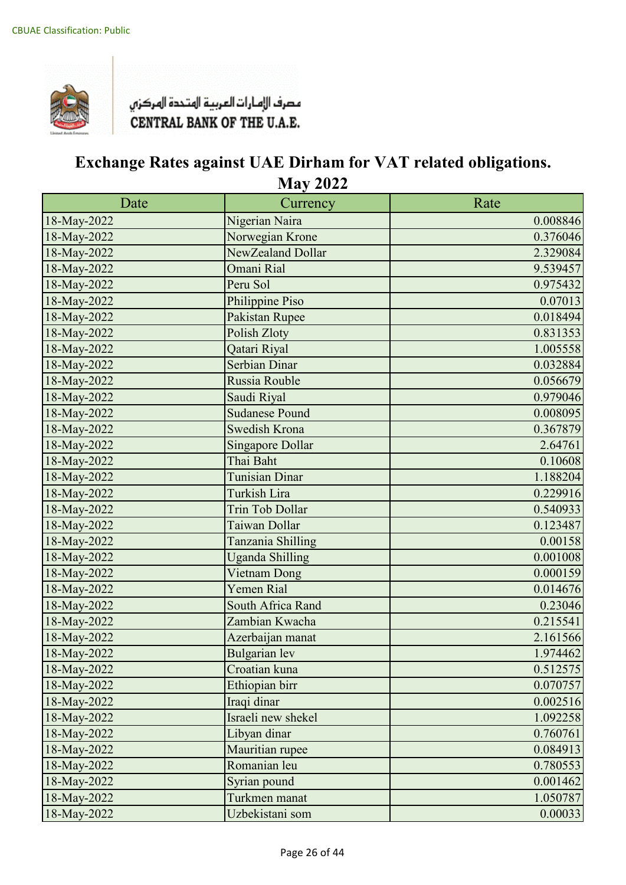

| Date        | Currency                | Rate     |
|-------------|-------------------------|----------|
| 18-May-2022 | Nigerian Naira          | 0.008846 |
| 18-May-2022 | Norwegian Krone         | 0.376046 |
| 18-May-2022 | NewZealand Dollar       | 2.329084 |
| 18-May-2022 | Omani Rial              | 9.539457 |
| 18-May-2022 | Peru Sol                | 0.975432 |
| 18-May-2022 | Philippine Piso         | 0.07013  |
| 18-May-2022 | Pakistan Rupee          | 0.018494 |
| 18-May-2022 | Polish Zloty            | 0.831353 |
| 18-May-2022 | Qatari Riyal            | 1.005558 |
| 18-May-2022 | Serbian Dinar           | 0.032884 |
| 18-May-2022 | Russia Rouble           | 0.056679 |
| 18-May-2022 | Saudi Riyal             | 0.979046 |
| 18-May-2022 | <b>Sudanese Pound</b>   | 0.008095 |
| 18-May-2022 | Swedish Krona           | 0.367879 |
| 18-May-2022 | <b>Singapore Dollar</b> | 2.64761  |
| 18-May-2022 | Thai Baht               | 0.10608  |
| 18-May-2022 | Tunisian Dinar          | 1.188204 |
| 18-May-2022 | Turkish Lira            | 0.229916 |
| 18-May-2022 | <b>Trin Tob Dollar</b>  | 0.540933 |
| 18-May-2022 | Taiwan Dollar           | 0.123487 |
| 18-May-2022 | Tanzania Shilling       | 0.00158  |
| 18-May-2022 | <b>Uganda Shilling</b>  | 0.001008 |
| 18-May-2022 | Vietnam Dong            | 0.000159 |
| 18-May-2022 | <b>Yemen Rial</b>       | 0.014676 |
| 18-May-2022 | South Africa Rand       | 0.23046  |
| 18-May-2022 | Zambian Kwacha          | 0.215541 |
| 18-May-2022 | Azerbaijan manat        | 2.161566 |
| 18-May-2022 | <b>Bulgarian</b> lev    | 1.974462 |
| 18-May-2022 | Croatian kuna           | 0.512575 |
| 18-May-2022 | Ethiopian birr          | 0.070757 |
| 18-May-2022 | Iraqi dinar             | 0.002516 |
| 18-May-2022 | Israeli new shekel      | 1.092258 |
| 18-May-2022 | Libyan dinar            | 0.760761 |
| 18-May-2022 | Mauritian rupee         | 0.084913 |
| 18-May-2022 | Romanian leu            | 0.780553 |
| 18-May-2022 | Syrian pound            | 0.001462 |
| 18-May-2022 | Turkmen manat           | 1.050787 |
| 18-May-2022 | Uzbekistani som         | 0.00033  |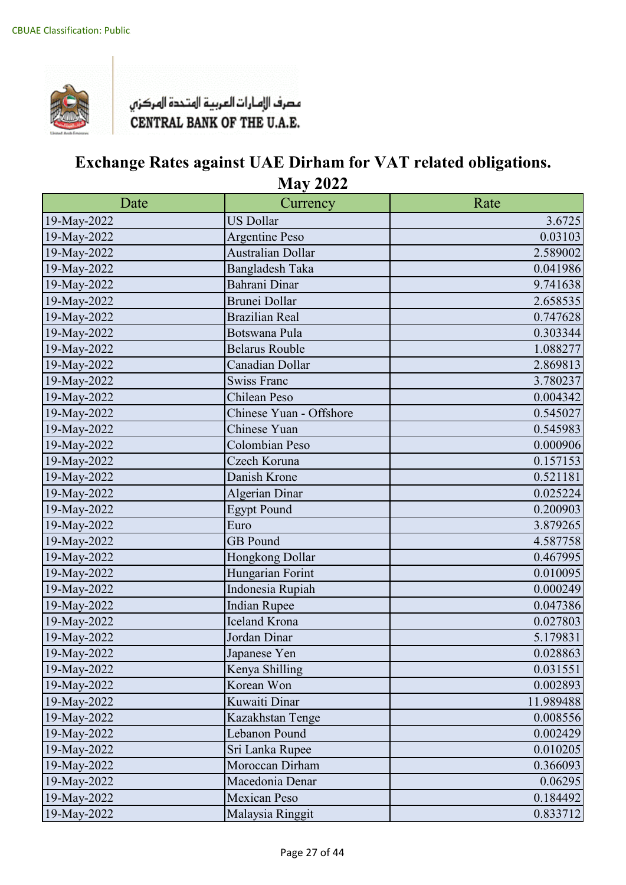

| Date        | Currency                 | Rate      |
|-------------|--------------------------|-----------|
| 19-May-2022 | <b>US Dollar</b>         | 3.6725    |
| 19-May-2022 | <b>Argentine Peso</b>    | 0.03103   |
| 19-May-2022 | <b>Australian Dollar</b> | 2.589002  |
| 19-May-2022 | <b>Bangladesh Taka</b>   | 0.041986  |
| 19-May-2022 | Bahrani Dinar            | 9.741638  |
| 19-May-2022 | <b>Brunei Dollar</b>     | 2.658535  |
| 19-May-2022 | <b>Brazilian Real</b>    | 0.747628  |
| 19-May-2022 | Botswana Pula            | 0.303344  |
| 19-May-2022 | <b>Belarus Rouble</b>    | 1.088277  |
| 19-May-2022 | Canadian Dollar          | 2.869813  |
| 19-May-2022 | <b>Swiss Franc</b>       | 3.780237  |
| 19-May-2022 | Chilean Peso             | 0.004342  |
| 19-May-2022 | Chinese Yuan - Offshore  | 0.545027  |
| 19-May-2022 | Chinese Yuan             | 0.545983  |
| 19-May-2022 | Colombian Peso           | 0.000906  |
| 19-May-2022 | Czech Koruna             | 0.157153  |
| 19-May-2022 | Danish Krone             | 0.521181  |
| 19-May-2022 | Algerian Dinar           | 0.025224  |
| 19-May-2022 | <b>Egypt Pound</b>       | 0.200903  |
| 19-May-2022 | Euro                     | 3.879265  |
| 19-May-2022 | <b>GB</b> Pound          | 4.587758  |
| 19-May-2022 | Hongkong Dollar          | 0.467995  |
| 19-May-2022 | Hungarian Forint         | 0.010095  |
| 19-May-2022 | Indonesia Rupiah         | 0.000249  |
| 19-May-2022 | <b>Indian Rupee</b>      | 0.047386  |
| 19-May-2022 | <b>Iceland Krona</b>     | 0.027803  |
| 19-May-2022 | Jordan Dinar             | 5.179831  |
| 19-May-2022 | Japanese Yen             | 0.028863  |
| 19-May-2022 | Kenya Shilling           | 0.031551  |
| 19-May-2022 | Korean Won               | 0.002893  |
| 19-May-2022 | Kuwaiti Dinar            | 11.989488 |
| 19-May-2022 | Kazakhstan Tenge         | 0.008556  |
| 19-May-2022 | Lebanon Pound            | 0.002429  |
| 19-May-2022 | Sri Lanka Rupee          | 0.010205  |
| 19-May-2022 | Moroccan Dirham          | 0.366093  |
| 19-May-2022 | Macedonia Denar          | 0.06295   |
| 19-May-2022 | <b>Mexican Peso</b>      | 0.184492  |
| 19-May-2022 | Malaysia Ringgit         | 0.833712  |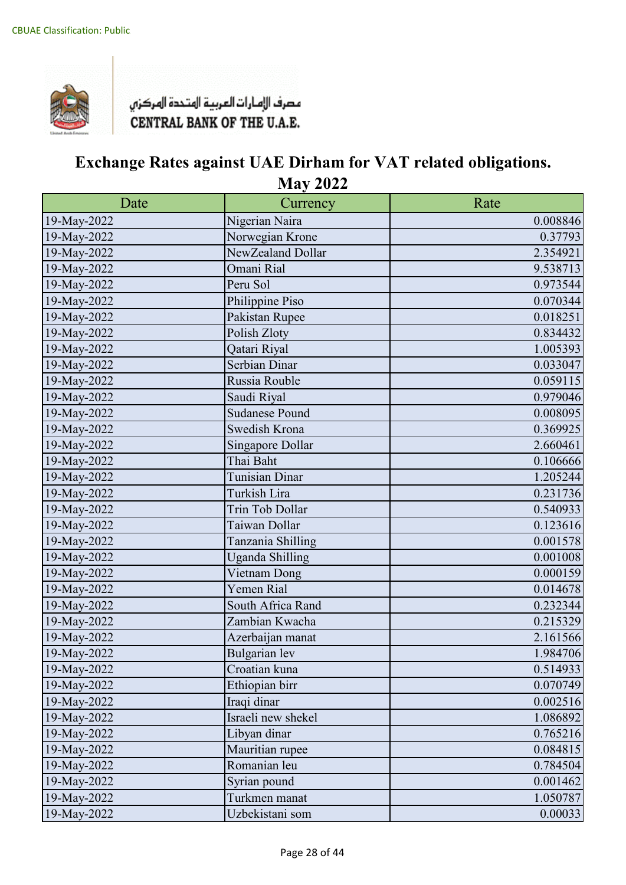

| Date        | Currency               | Rate     |
|-------------|------------------------|----------|
| 19-May-2022 | Nigerian Naira         | 0.008846 |
| 19-May-2022 | Norwegian Krone        | 0.37793  |
| 19-May-2022 | NewZealand Dollar      | 2.354921 |
| 19-May-2022 | Omani Rial             | 9.538713 |
| 19-May-2022 | Peru Sol               | 0.973544 |
| 19-May-2022 | Philippine Piso        | 0.070344 |
| 19-May-2022 | Pakistan Rupee         | 0.018251 |
| 19-May-2022 | Polish Zloty           | 0.834432 |
| 19-May-2022 | Qatari Riyal           | 1.005393 |
| 19-May-2022 | Serbian Dinar          | 0.033047 |
| 19-May-2022 | Russia Rouble          | 0.059115 |
| 19-May-2022 | Saudi Riyal            | 0.979046 |
| 19-May-2022 | <b>Sudanese Pound</b>  | 0.008095 |
| 19-May-2022 | Swedish Krona          | 0.369925 |
| 19-May-2022 | Singapore Dollar       | 2.660461 |
| 19-May-2022 | Thai Baht              | 0.106666 |
| 19-May-2022 | <b>Tunisian Dinar</b>  | 1.205244 |
| 19-May-2022 | Turkish Lira           | 0.231736 |
| 19-May-2022 | Trin Tob Dollar        | 0.540933 |
| 19-May-2022 | Taiwan Dollar          | 0.123616 |
| 19-May-2022 | Tanzania Shilling      | 0.001578 |
| 19-May-2022 | <b>Uganda Shilling</b> | 0.001008 |
| 19-May-2022 | Vietnam Dong           | 0.000159 |
| 19-May-2022 | Yemen Rial             | 0.014678 |
| 19-May-2022 | South Africa Rand      | 0.232344 |
| 19-May-2022 | Zambian Kwacha         | 0.215329 |
| 19-May-2022 | Azerbaijan manat       | 2.161566 |
| 19-May-2022 | Bulgarian lev          | 1.984706 |
| 19-May-2022 | Croatian kuna          | 0.514933 |
| 19-May-2022 | Ethiopian birr         | 0.070749 |
| 19-May-2022 | Iraqi dinar            | 0.002516 |
| 19-May-2022 | Israeli new shekel     | 1.086892 |
| 19-May-2022 | Libyan dinar           | 0.765216 |
| 19-May-2022 | Mauritian rupee        | 0.084815 |
| 19-May-2022 | Romanian leu           | 0.784504 |
| 19-May-2022 | Syrian pound           | 0.001462 |
| 19-May-2022 | Turkmen manat          | 1.050787 |
| 19-May-2022 | Uzbekistani som        | 0.00033  |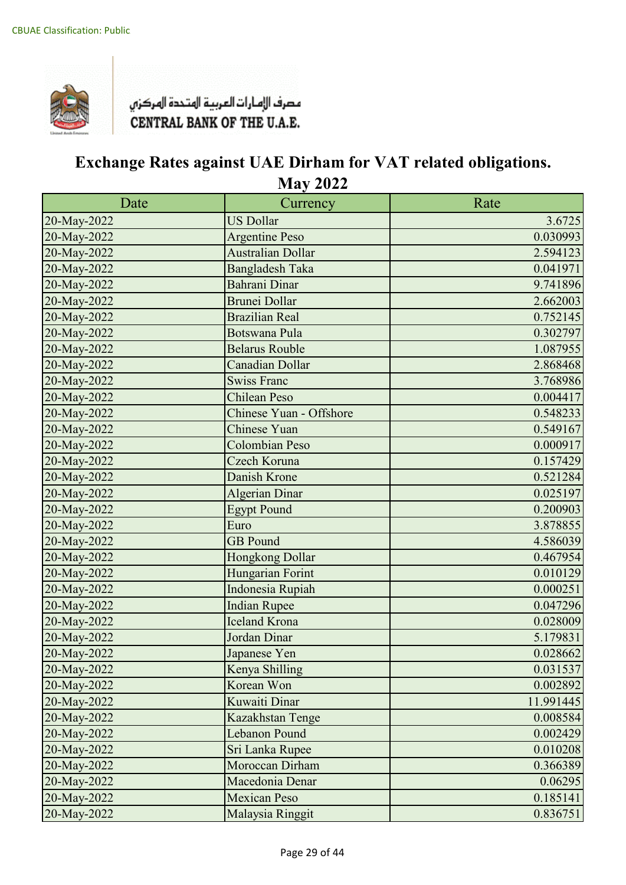

| Date        | Currency                | Rate      |
|-------------|-------------------------|-----------|
| 20-May-2022 | <b>US Dollar</b>        | 3.6725    |
| 20-May-2022 | <b>Argentine Peso</b>   | 0.030993  |
| 20-May-2022 | Australian Dollar       | 2.594123  |
| 20-May-2022 | <b>Bangladesh Taka</b>  | 0.041971  |
| 20-May-2022 | Bahrani Dinar           | 9.741896  |
| 20-May-2022 | <b>Brunei Dollar</b>    | 2.662003  |
| 20-May-2022 | <b>Brazilian Real</b>   | 0.752145  |
| 20-May-2022 | Botswana Pula           | 0.302797  |
| 20-May-2022 | <b>Belarus Rouble</b>   | 1.087955  |
| 20-May-2022 | Canadian Dollar         | 2.868468  |
| 20-May-2022 | <b>Swiss Franc</b>      | 3.768986  |
| 20-May-2022 | <b>Chilean Peso</b>     | 0.004417  |
| 20-May-2022 | Chinese Yuan - Offshore | 0.548233  |
| 20-May-2022 | Chinese Yuan            | 0.549167  |
| 20-May-2022 | <b>Colombian Peso</b>   | 0.000917  |
| 20-May-2022 | Czech Koruna            | 0.157429  |
| 20-May-2022 | Danish Krone            | 0.521284  |
| 20-May-2022 | Algerian Dinar          | 0.025197  |
| 20-May-2022 | <b>Egypt Pound</b>      | 0.200903  |
| 20-May-2022 | Euro                    | 3.878855  |
| 20-May-2022 | <b>GB</b> Pound         | 4.586039  |
| 20-May-2022 | Hongkong Dollar         | 0.467954  |
| 20-May-2022 | Hungarian Forint        | 0.010129  |
| 20-May-2022 | Indonesia Rupiah        | 0.000251  |
| 20-May-2022 | <b>Indian Rupee</b>     | 0.047296  |
| 20-May-2022 | Iceland Krona           | 0.028009  |
| 20-May-2022 | Jordan Dinar            | 5.179831  |
| 20-May-2022 | Japanese Yen            | 0.028662  |
| 20-May-2022 | Kenya Shilling          | 0.031537  |
| 20-May-2022 | Korean Won              | 0.002892  |
| 20-May-2022 | Kuwaiti Dinar           | 11.991445 |
| 20-May-2022 | Kazakhstan Tenge        | 0.008584  |
| 20-May-2022 | Lebanon Pound           | 0.002429  |
| 20-May-2022 | Sri Lanka Rupee         | 0.010208  |
| 20-May-2022 | Moroccan Dirham         | 0.366389  |
| 20-May-2022 | Macedonia Denar         | 0.06295   |
| 20-May-2022 | <b>Mexican Peso</b>     | 0.185141  |
| 20-May-2022 | Malaysia Ringgit        | 0.836751  |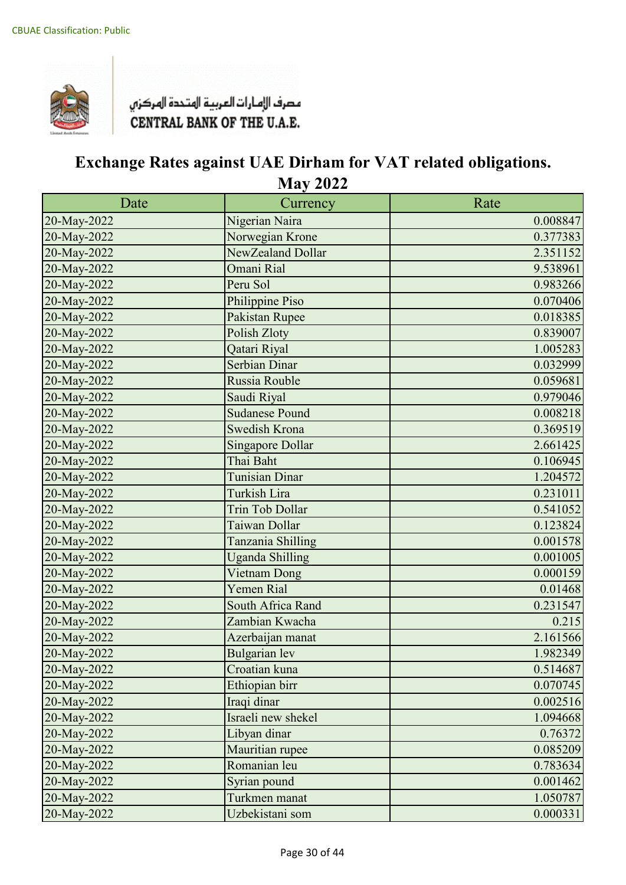

| Date        | Currency                | Rate     |
|-------------|-------------------------|----------|
| 20-May-2022 | Nigerian Naira          | 0.008847 |
| 20-May-2022 | Norwegian Krone         | 0.377383 |
| 20-May-2022 | NewZealand Dollar       | 2.351152 |
| 20-May-2022 | Omani Rial              | 9.538961 |
| 20-May-2022 | Peru Sol                | 0.983266 |
| 20-May-2022 | Philippine Piso         | 0.070406 |
| 20-May-2022 | Pakistan Rupee          | 0.018385 |
| 20-May-2022 | Polish Zloty            | 0.839007 |
| 20-May-2022 | Qatari Riyal            | 1.005283 |
| 20-May-2022 | Serbian Dinar           | 0.032999 |
| 20-May-2022 | Russia Rouble           | 0.059681 |
| 20-May-2022 | Saudi Riyal             | 0.979046 |
| 20-May-2022 | <b>Sudanese Pound</b>   | 0.008218 |
| 20-May-2022 | Swedish Krona           | 0.369519 |
| 20-May-2022 | <b>Singapore Dollar</b> | 2.661425 |
| 20-May-2022 | Thai Baht               | 0.106945 |
| 20-May-2022 | Tunisian Dinar          | 1.204572 |
| 20-May-2022 | Turkish Lira            | 0.231011 |
| 20-May-2022 | Trin Tob Dollar         | 0.541052 |
| 20-May-2022 | Taiwan Dollar           | 0.123824 |
| 20-May-2022 | Tanzania Shilling       | 0.001578 |
| 20-May-2022 | <b>Uganda Shilling</b>  | 0.001005 |
| 20-May-2022 | Vietnam Dong            | 0.000159 |
| 20-May-2022 | Yemen Rial              | 0.01468  |
| 20-May-2022 | South Africa Rand       | 0.231547 |
| 20-May-2022 | Zambian Kwacha          | 0.215    |
| 20-May-2022 | Azerbaijan manat        | 2.161566 |
| 20-May-2022 | Bulgarian lev           | 1.982349 |
| 20-May-2022 | Croatian kuna           | 0.514687 |
| 20-May-2022 | Ethiopian birr          | 0.070745 |
| 20-May-2022 | Iraqi dinar             | 0.002516 |
| 20-May-2022 | Israeli new shekel      | 1.094668 |
| 20-May-2022 | Libyan dinar            | 0.76372  |
| 20-May-2022 | Mauritian rupee         | 0.085209 |
| 20-May-2022 | Romanian leu            | 0.783634 |
| 20-May-2022 | Syrian pound            | 0.001462 |
| 20-May-2022 | Turkmen manat           | 1.050787 |
| 20-May-2022 | Uzbekistani som         | 0.000331 |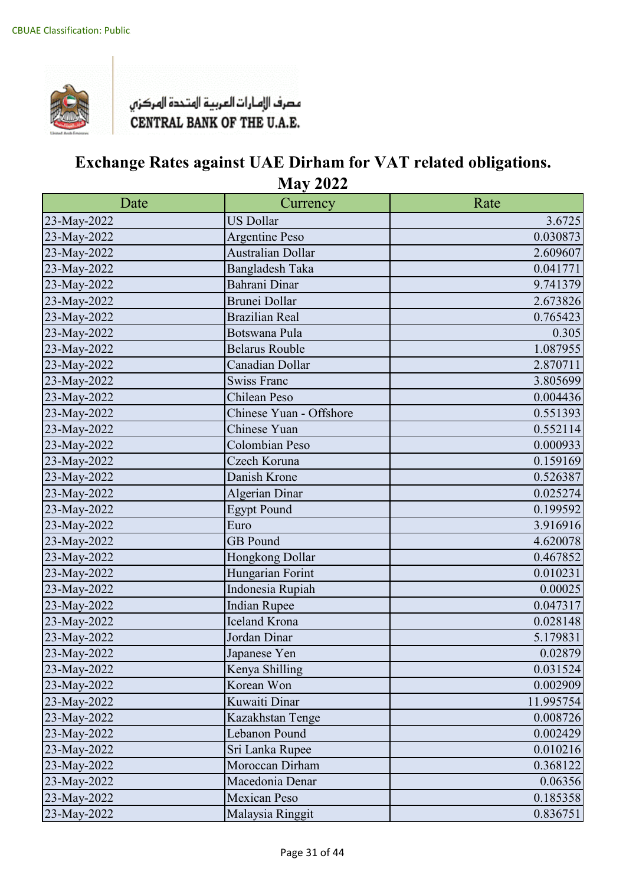

| Date        | Currency                 | Rate      |
|-------------|--------------------------|-----------|
| 23-May-2022 | <b>US Dollar</b>         | 3.6725    |
| 23-May-2022 | Argentine Peso           | 0.030873  |
| 23-May-2022 | <b>Australian Dollar</b> | 2.609607  |
| 23-May-2022 | Bangladesh Taka          | 0.041771  |
| 23-May-2022 | Bahrani Dinar            | 9.741379  |
| 23-May-2022 | <b>Brunei Dollar</b>     | 2.673826  |
| 23-May-2022 | <b>Brazilian Real</b>    | 0.765423  |
| 23-May-2022 | Botswana Pula            | 0.305     |
| 23-May-2022 | <b>Belarus Rouble</b>    | 1.087955  |
| 23-May-2022 | Canadian Dollar          | 2.870711  |
| 23-May-2022 | <b>Swiss Franc</b>       | 3.805699  |
| 23-May-2022 | Chilean Peso             | 0.004436  |
| 23-May-2022 | Chinese Yuan - Offshore  | 0.551393  |
| 23-May-2022 | Chinese Yuan             | 0.552114  |
| 23-May-2022 | Colombian Peso           | 0.000933  |
| 23-May-2022 | Czech Koruna             | 0.159169  |
| 23-May-2022 | Danish Krone             | 0.526387  |
| 23-May-2022 | <b>Algerian Dinar</b>    | 0.025274  |
| 23-May-2022 | <b>Egypt Pound</b>       | 0.199592  |
| 23-May-2022 | Euro                     | 3.916916  |
| 23-May-2022 | <b>GB</b> Pound          | 4.620078  |
| 23-May-2022 | Hongkong Dollar          | 0.467852  |
| 23-May-2022 | Hungarian Forint         | 0.010231  |
| 23-May-2022 | Indonesia Rupiah         | 0.00025   |
| 23-May-2022 | <b>Indian Rupee</b>      | 0.047317  |
| 23-May-2022 | <b>Iceland Krona</b>     | 0.028148  |
| 23-May-2022 | Jordan Dinar             | 5.179831  |
| 23-May-2022 | Japanese Yen             | 0.02879   |
| 23-May-2022 | Kenya Shilling           | 0.031524  |
| 23-May-2022 | Korean Won               | 0.002909  |
| 23-May-2022 | Kuwaiti Dinar            | 11.995754 |
| 23-May-2022 | Kazakhstan Tenge         | 0.008726  |
| 23-May-2022 | Lebanon Pound            | 0.002429  |
| 23-May-2022 | Sri Lanka Rupee          | 0.010216  |
| 23-May-2022 | Moroccan Dirham          | 0.368122  |
| 23-May-2022 | Macedonia Denar          | 0.06356   |
| 23-May-2022 | <b>Mexican Peso</b>      | 0.185358  |
| 23-May-2022 | Malaysia Ringgit         | 0.836751  |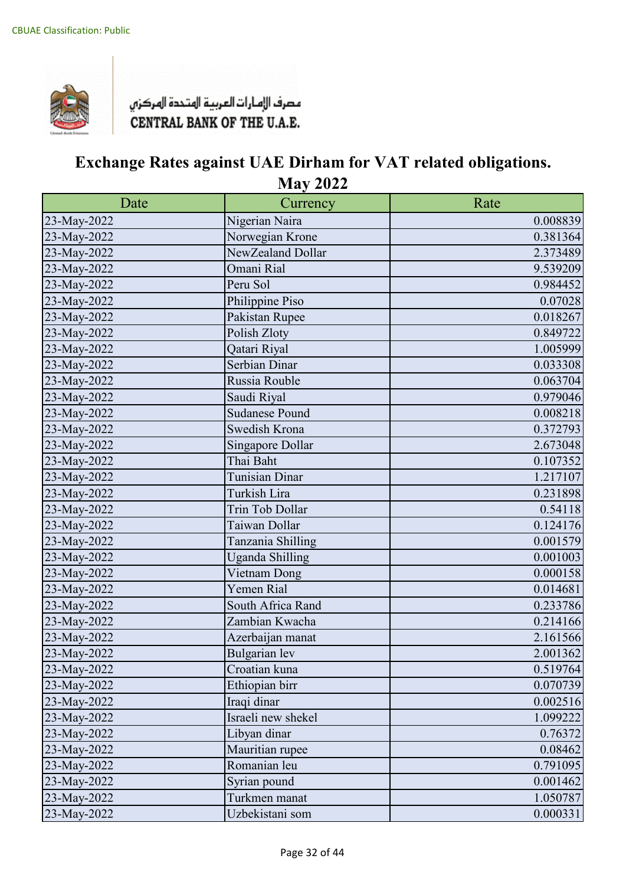

| Date        | Currency               | Rate     |
|-------------|------------------------|----------|
| 23-May-2022 | Nigerian Naira         | 0.008839 |
| 23-May-2022 | Norwegian Krone        | 0.381364 |
| 23-May-2022 | NewZealand Dollar      | 2.373489 |
| 23-May-2022 | Omani Rial             | 9.539209 |
| 23-May-2022 | Peru Sol               | 0.984452 |
| 23-May-2022 | Philippine Piso        | 0.07028  |
| 23-May-2022 | Pakistan Rupee         | 0.018267 |
| 23-May-2022 | Polish Zloty           | 0.849722 |
| 23-May-2022 | Qatari Riyal           | 1.005999 |
| 23-May-2022 | Serbian Dinar          | 0.033308 |
| 23-May-2022 | Russia Rouble          | 0.063704 |
| 23-May-2022 | Saudi Riyal            | 0.979046 |
| 23-May-2022 | <b>Sudanese Pound</b>  | 0.008218 |
| 23-May-2022 | Swedish Krona          | 0.372793 |
| 23-May-2022 | Singapore Dollar       | 2.673048 |
| 23-May-2022 | Thai Baht              | 0.107352 |
| 23-May-2022 | <b>Tunisian Dinar</b>  | 1.217107 |
| 23-May-2022 | Turkish Lira           | 0.231898 |
| 23-May-2022 | Trin Tob Dollar        | 0.54118  |
| 23-May-2022 | Taiwan Dollar          | 0.124176 |
| 23-May-2022 | Tanzania Shilling      | 0.001579 |
| 23-May-2022 | <b>Uganda Shilling</b> | 0.001003 |
| 23-May-2022 | Vietnam Dong           | 0.000158 |
| 23-May-2022 | Yemen Rial             | 0.014681 |
| 23-May-2022 | South Africa Rand      | 0.233786 |
| 23-May-2022 | Zambian Kwacha         | 0.214166 |
| 23-May-2022 | Azerbaijan manat       | 2.161566 |
| 23-May-2022 | Bulgarian lev          | 2.001362 |
| 23-May-2022 | Croatian kuna          | 0.519764 |
| 23-May-2022 | Ethiopian birr         | 0.070739 |
| 23-May-2022 | Iraqi dinar            | 0.002516 |
| 23-May-2022 | Israeli new shekel     | 1.099222 |
| 23-May-2022 | Libyan dinar           | 0.76372  |
| 23-May-2022 | Mauritian rupee        | 0.08462  |
| 23-May-2022 | Romanian leu           | 0.791095 |
| 23-May-2022 | Syrian pound           | 0.001462 |
| 23-May-2022 | Turkmen manat          | 1.050787 |
| 23-May-2022 | Uzbekistani som        | 0.000331 |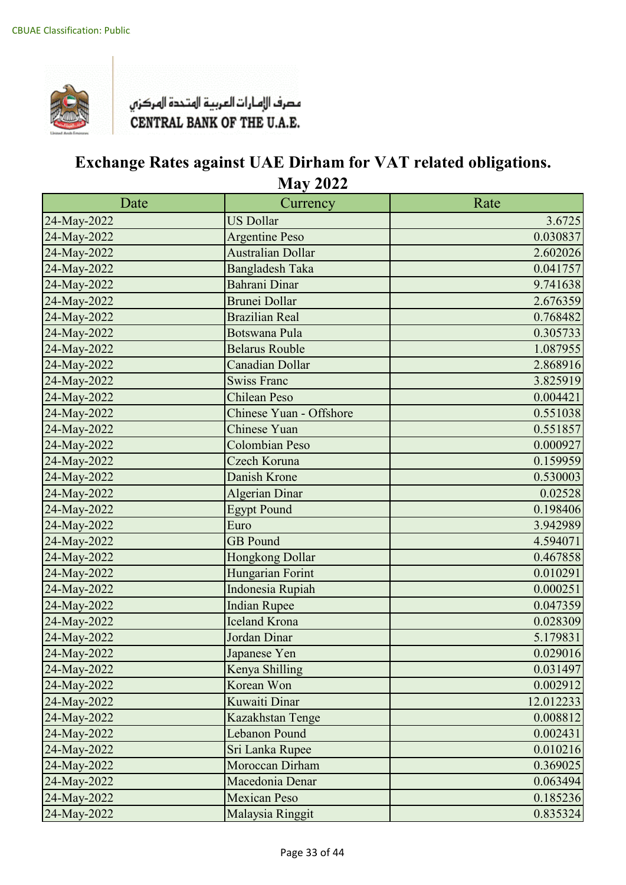

| Date        | Currency                 | Rate      |
|-------------|--------------------------|-----------|
| 24-May-2022 | <b>US Dollar</b>         | 3.6725    |
| 24-May-2022 | <b>Argentine Peso</b>    | 0.030837  |
| 24-May-2022 | <b>Australian Dollar</b> | 2.602026  |
| 24-May-2022 | <b>Bangladesh Taka</b>   | 0.041757  |
| 24-May-2022 | Bahrani Dinar            | 9.741638  |
| 24-May-2022 | <b>Brunei Dollar</b>     | 2.676359  |
| 24-May-2022 | <b>Brazilian Real</b>    | 0.768482  |
| 24-May-2022 | <b>Botswana Pula</b>     | 0.305733  |
| 24-May-2022 | <b>Belarus Rouble</b>    | 1.087955  |
| 24-May-2022 | Canadian Dollar          | 2.868916  |
| 24-May-2022 | <b>Swiss Franc</b>       | 3.825919  |
| 24-May-2022 | <b>Chilean Peso</b>      | 0.004421  |
| 24-May-2022 | Chinese Yuan - Offshore  | 0.551038  |
| 24-May-2022 | <b>Chinese Yuan</b>      | 0.551857  |
| 24-May-2022 | <b>Colombian Peso</b>    | 0.000927  |
| 24-May-2022 | Czech Koruna             | 0.159959  |
| 24-May-2022 | Danish Krone             | 0.530003  |
| 24-May-2022 | Algerian Dinar           | 0.02528   |
| 24-May-2022 | <b>Egypt Pound</b>       | 0.198406  |
| 24-May-2022 | Euro                     | 3.942989  |
| 24-May-2022 | <b>GB</b> Pound          | 4.594071  |
| 24-May-2022 | Hongkong Dollar          | 0.467858  |
| 24-May-2022 | Hungarian Forint         | 0.010291  |
| 24-May-2022 | Indonesia Rupiah         | 0.000251  |
| 24-May-2022 | <b>Indian Rupee</b>      | 0.047359  |
| 24-May-2022 | Iceland Krona            | 0.028309  |
| 24-May-2022 | Jordan Dinar             | 5.179831  |
| 24-May-2022 | Japanese Yen             | 0.029016  |
| 24-May-2022 | Kenya Shilling           | 0.031497  |
| 24-May-2022 | Korean Won               | 0.002912  |
| 24-May-2022 | Kuwaiti Dinar            | 12.012233 |
| 24-May-2022 | Kazakhstan Tenge         | 0.008812  |
| 24-May-2022 | Lebanon Pound            | 0.002431  |
| 24-May-2022 | Sri Lanka Rupee          | 0.010216  |
| 24-May-2022 | Moroccan Dirham          | 0.369025  |
| 24-May-2022 | Macedonia Denar          | 0.063494  |
| 24-May-2022 | <b>Mexican Peso</b>      | 0.185236  |
| 24-May-2022 | Malaysia Ringgit         | 0.835324  |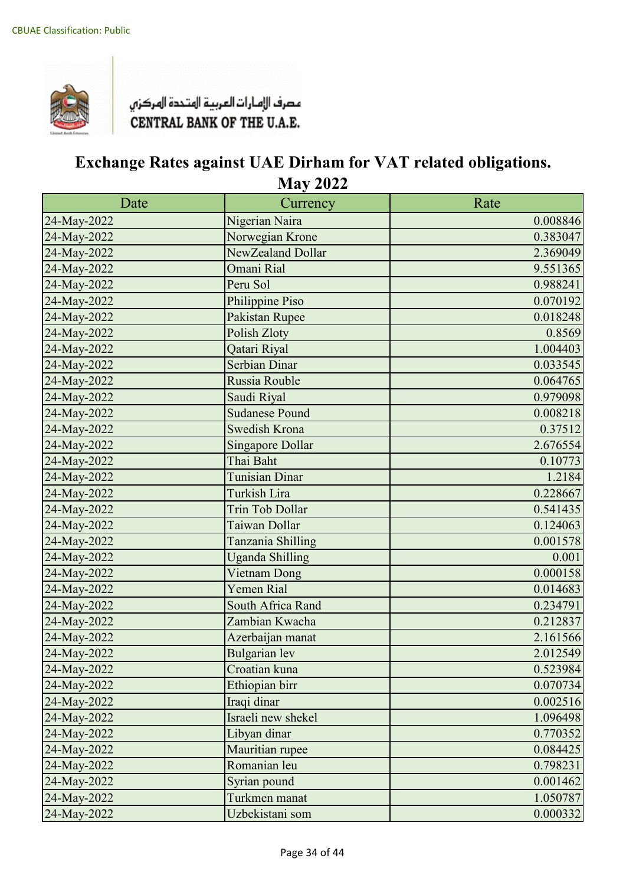

| Date        | Currency                | Rate     |
|-------------|-------------------------|----------|
| 24-May-2022 | Nigerian Naira          | 0.008846 |
| 24-May-2022 | Norwegian Krone         | 0.383047 |
| 24-May-2022 | NewZealand Dollar       | 2.369049 |
| 24-May-2022 | Omani Rial              | 9.551365 |
| 24-May-2022 | Peru Sol                | 0.988241 |
| 24-May-2022 | Philippine Piso         | 0.070192 |
| 24-May-2022 | Pakistan Rupee          | 0.018248 |
| 24-May-2022 | Polish Zloty            | 0.8569   |
| 24-May-2022 | Qatari Riyal            | 1.004403 |
| 24-May-2022 | Serbian Dinar           | 0.033545 |
| 24-May-2022 | Russia Rouble           | 0.064765 |
| 24-May-2022 | Saudi Riyal             | 0.979098 |
| 24-May-2022 | <b>Sudanese Pound</b>   | 0.008218 |
| 24-May-2022 | Swedish Krona           | 0.37512  |
| 24-May-2022 | <b>Singapore Dollar</b> | 2.676554 |
| 24-May-2022 | Thai Baht               | 0.10773  |
| 24-May-2022 | Tunisian Dinar          | 1.2184   |
| 24-May-2022 | Turkish Lira            | 0.228667 |
| 24-May-2022 | Trin Tob Dollar         | 0.541435 |
| 24-May-2022 | Taiwan Dollar           | 0.124063 |
| 24-May-2022 | Tanzania Shilling       | 0.001578 |
| 24-May-2022 | <b>Uganda Shilling</b>  | 0.001    |
| 24-May-2022 | Vietnam Dong            | 0.000158 |
| 24-May-2022 | Yemen Rial              | 0.014683 |
| 24-May-2022 | South Africa Rand       | 0.234791 |
| 24-May-2022 | Zambian Kwacha          | 0.212837 |
| 24-May-2022 | Azerbaijan manat        | 2.161566 |
| 24-May-2022 | Bulgarian lev           | 2.012549 |
| 24-May-2022 | Croatian kuna           | 0.523984 |
| 24-May-2022 | Ethiopian birr          | 0.070734 |
| 24-May-2022 | Iraqi dinar             | 0.002516 |
| 24-May-2022 | Israeli new shekel      | 1.096498 |
| 24-May-2022 | Libyan dinar            | 0.770352 |
| 24-May-2022 | Mauritian rupee         | 0.084425 |
| 24-May-2022 | Romanian leu            | 0.798231 |
| 24-May-2022 | Syrian pound            | 0.001462 |
| 24-May-2022 | Turkmen manat           | 1.050787 |
| 24-May-2022 | Uzbekistani som         | 0.000332 |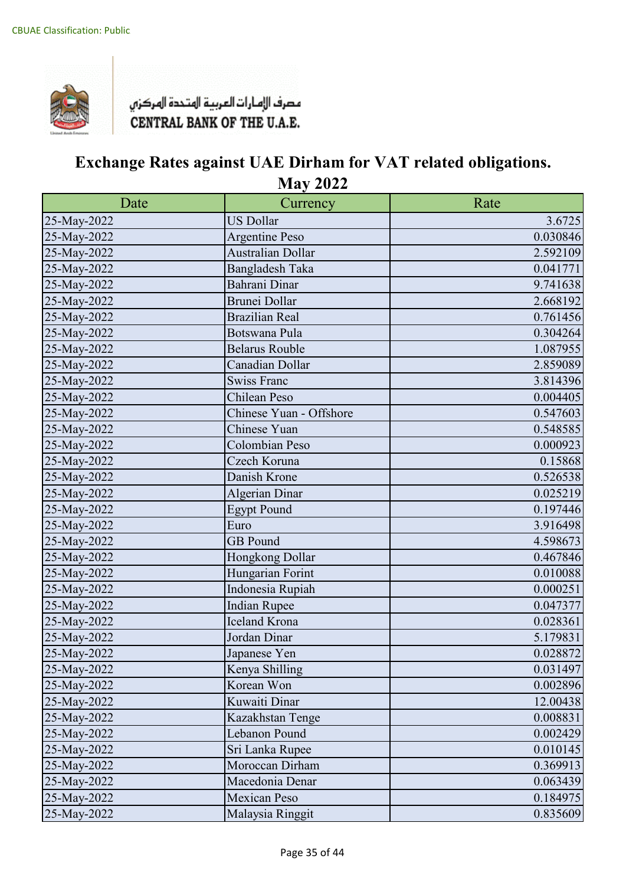

| Date        | Currency                 | Rate     |
|-------------|--------------------------|----------|
| 25-May-2022 | <b>US Dollar</b>         | 3.6725   |
| 25-May-2022 | <b>Argentine Peso</b>    | 0.030846 |
| 25-May-2022 | <b>Australian Dollar</b> | 2.592109 |
| 25-May-2022 | Bangladesh Taka          | 0.041771 |
| 25-May-2022 | Bahrani Dinar            | 9.741638 |
| 25-May-2022 | <b>Brunei Dollar</b>     | 2.668192 |
| 25-May-2022 | <b>Brazilian Real</b>    | 0.761456 |
| 25-May-2022 | Botswana Pula            | 0.304264 |
| 25-May-2022 | <b>Belarus Rouble</b>    | 1.087955 |
| 25-May-2022 | Canadian Dollar          | 2.859089 |
| 25-May-2022 | <b>Swiss Franc</b>       | 3.814396 |
| 25-May-2022 | Chilean Peso             | 0.004405 |
| 25-May-2022 | Chinese Yuan - Offshore  | 0.547603 |
| 25-May-2022 | Chinese Yuan             | 0.548585 |
| 25-May-2022 | Colombian Peso           | 0.000923 |
| 25-May-2022 | Czech Koruna             | 0.15868  |
| 25-May-2022 | Danish Krone             | 0.526538 |
| 25-May-2022 | <b>Algerian Dinar</b>    | 0.025219 |
| 25-May-2022 | <b>Egypt Pound</b>       | 0.197446 |
| 25-May-2022 | Euro                     | 3.916498 |
| 25-May-2022 | <b>GB</b> Pound          | 4.598673 |
| 25-May-2022 | Hongkong Dollar          | 0.467846 |
| 25-May-2022 | Hungarian Forint         | 0.010088 |
| 25-May-2022 | Indonesia Rupiah         | 0.000251 |
| 25-May-2022 | <b>Indian Rupee</b>      | 0.047377 |
| 25-May-2022 | <b>Iceland Krona</b>     | 0.028361 |
| 25-May-2022 | Jordan Dinar             | 5.179831 |
| 25-May-2022 | Japanese Yen             | 0.028872 |
| 25-May-2022 | Kenya Shilling           | 0.031497 |
| 25-May-2022 | Korean Won               | 0.002896 |
| 25-May-2022 | Kuwaiti Dinar            | 12.00438 |
| 25-May-2022 | Kazakhstan Tenge         | 0.008831 |
| 25-May-2022 | Lebanon Pound            | 0.002429 |
| 25-May-2022 | Sri Lanka Rupee          | 0.010145 |
| 25-May-2022 | Moroccan Dirham          | 0.369913 |
| 25-May-2022 | Macedonia Denar          | 0.063439 |
| 25-May-2022 | <b>Mexican Peso</b>      | 0.184975 |
| 25-May-2022 | Malaysia Ringgit         | 0.835609 |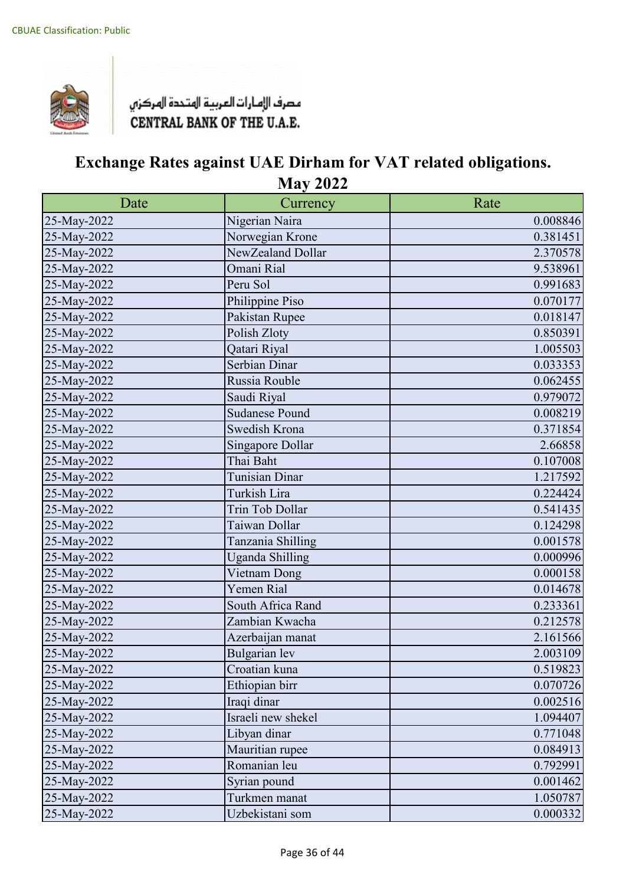

| Date        | Currency              | Rate     |
|-------------|-----------------------|----------|
| 25-May-2022 | Nigerian Naira        | 0.008846 |
| 25-May-2022 | Norwegian Krone       | 0.381451 |
| 25-May-2022 | NewZealand Dollar     | 2.370578 |
| 25-May-2022 | Omani Rial            | 9.538961 |
| 25-May-2022 | Peru Sol              | 0.991683 |
| 25-May-2022 | Philippine Piso       | 0.070177 |
| 25-May-2022 | Pakistan Rupee        | 0.018147 |
| 25-May-2022 | Polish Zloty          | 0.850391 |
| 25-May-2022 | Qatari Riyal          | 1.005503 |
| 25-May-2022 | Serbian Dinar         | 0.033353 |
| 25-May-2022 | Russia Rouble         | 0.062455 |
| 25-May-2022 | Saudi Riyal           | 0.979072 |
| 25-May-2022 | <b>Sudanese Pound</b> | 0.008219 |
| 25-May-2022 | Swedish Krona         | 0.371854 |
| 25-May-2022 | Singapore Dollar      | 2.66858  |
| 25-May-2022 | Thai Baht             | 0.107008 |
| 25-May-2022 | Tunisian Dinar        | 1.217592 |
| 25-May-2022 | Turkish Lira          | 0.224424 |
| 25-May-2022 | Trin Tob Dollar       | 0.541435 |
| 25-May-2022 | Taiwan Dollar         | 0.124298 |
| 25-May-2022 | Tanzania Shilling     | 0.001578 |
| 25-May-2022 | Uganda Shilling       | 0.000996 |
| 25-May-2022 | Vietnam Dong          | 0.000158 |
| 25-May-2022 | Yemen Rial            | 0.014678 |
| 25-May-2022 | South Africa Rand     | 0.233361 |
| 25-May-2022 | Zambian Kwacha        | 0.212578 |
| 25-May-2022 | Azerbaijan manat      | 2.161566 |
| 25-May-2022 | Bulgarian lev         | 2.003109 |
| 25-May-2022 | Croatian kuna         | 0.519823 |
| 25-May-2022 | Ethiopian birr        | 0.070726 |
| 25-May-2022 | Iraqi dinar           | 0.002516 |
| 25-May-2022 | Israeli new shekel    | 1.094407 |
| 25-May-2022 | Libyan dinar          | 0.771048 |
| 25-May-2022 | Mauritian rupee       | 0.084913 |
| 25-May-2022 | Romanian leu          | 0.792991 |
| 25-May-2022 | Syrian pound          | 0.001462 |
| 25-May-2022 | Turkmen manat         | 1.050787 |
| 25-May-2022 | Uzbekistani som       | 0.000332 |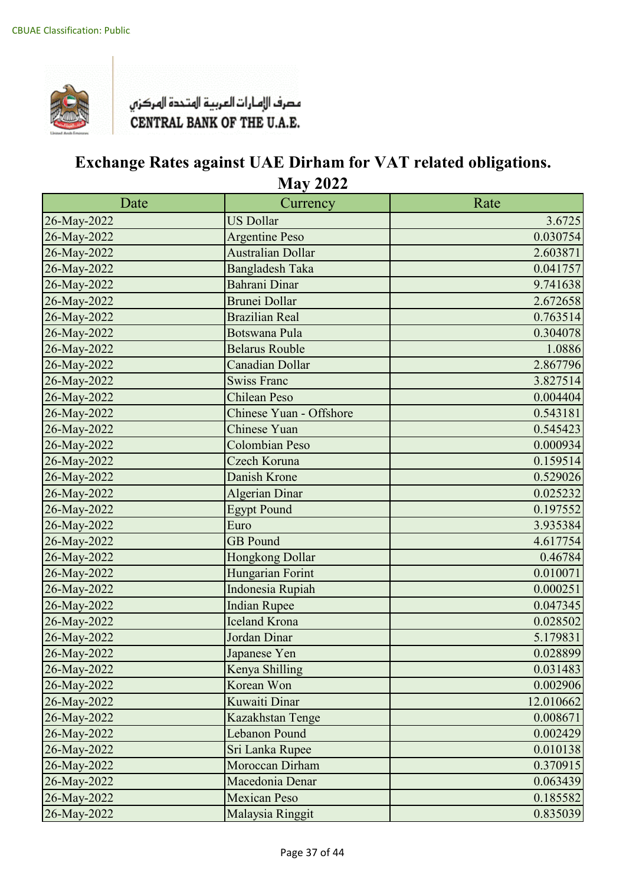

| Date        | Currency                 | Rate      |
|-------------|--------------------------|-----------|
| 26-May-2022 | <b>US Dollar</b>         | 3.6725    |
| 26-May-2022 | <b>Argentine Peso</b>    | 0.030754  |
| 26-May-2022 | <b>Australian Dollar</b> | 2.603871  |
| 26-May-2022 | <b>Bangladesh Taka</b>   | 0.041757  |
| 26-May-2022 | Bahrani Dinar            | 9.741638  |
| 26-May-2022 | Brunei Dollar            | 2.672658  |
| 26-May-2022 | <b>Brazilian Real</b>    | 0.763514  |
| 26-May-2022 | Botswana Pula            | 0.304078  |
| 26-May-2022 | <b>Belarus Rouble</b>    | 1.0886    |
| 26-May-2022 | Canadian Dollar          | 2.867796  |
| 26-May-2022 | <b>Swiss Franc</b>       | 3.827514  |
| 26-May-2022 | <b>Chilean Peso</b>      | 0.004404  |
| 26-May-2022 | Chinese Yuan - Offshore  | 0.543181  |
| 26-May-2022 | Chinese Yuan             | 0.545423  |
| 26-May-2022 | <b>Colombian Peso</b>    | 0.000934  |
| 26-May-2022 | Czech Koruna             | 0.159514  |
| 26-May-2022 | Danish Krone             | 0.529026  |
| 26-May-2022 | <b>Algerian Dinar</b>    | 0.025232  |
| 26-May-2022 | <b>Egypt Pound</b>       | 0.197552  |
| 26-May-2022 | Euro                     | 3.935384  |
| 26-May-2022 | <b>GB</b> Pound          | 4.617754  |
| 26-May-2022 | Hongkong Dollar          | 0.46784   |
| 26-May-2022 | Hungarian Forint         | 0.010071  |
| 26-May-2022 | Indonesia Rupiah         | 0.000251  |
| 26-May-2022 | <b>Indian Rupee</b>      | 0.047345  |
| 26-May-2022 | <b>Iceland Krona</b>     | 0.028502  |
| 26-May-2022 | Jordan Dinar             | 5.179831  |
| 26-May-2022 | Japanese Yen             | 0.028899  |
| 26-May-2022 | Kenya Shilling           | 0.031483  |
| 26-May-2022 | Korean Won               | 0.002906  |
| 26-May-2022 | Kuwaiti Dinar            | 12.010662 |
| 26-May-2022 | Kazakhstan Tenge         | 0.008671  |
| 26-May-2022 | <b>Lebanon Pound</b>     | 0.002429  |
| 26-May-2022 | Sri Lanka Rupee          | 0.010138  |
| 26-May-2022 | Moroccan Dirham          | 0.370915  |
| 26-May-2022 | Macedonia Denar          | 0.063439  |
| 26-May-2022 | <b>Mexican Peso</b>      | 0.185582  |
| 26-May-2022 | Malaysia Ringgit         | 0.835039  |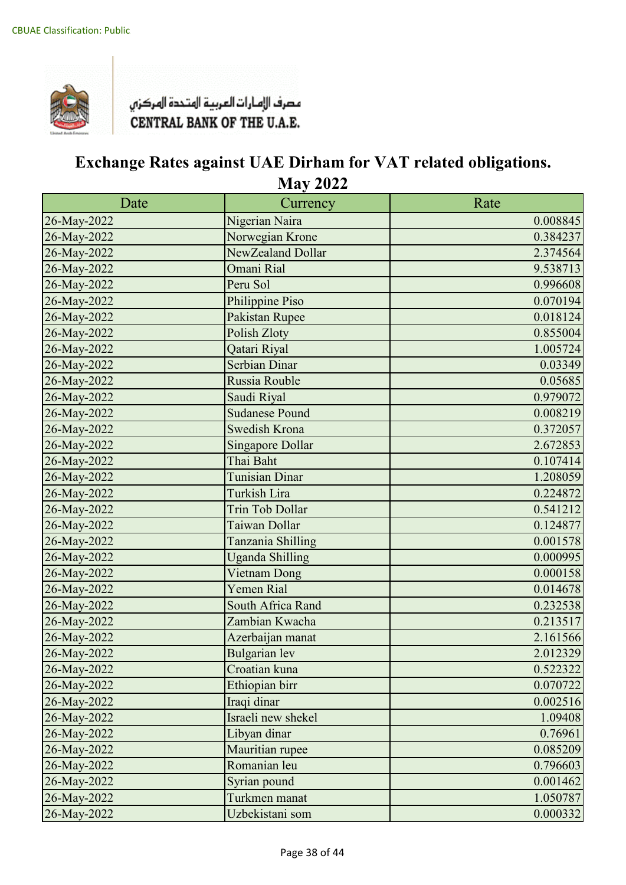

| Date        | Currency                | Rate     |
|-------------|-------------------------|----------|
| 26-May-2022 | Nigerian Naira          | 0.008845 |
| 26-May-2022 | Norwegian Krone         | 0.384237 |
| 26-May-2022 | NewZealand Dollar       | 2.374564 |
| 26-May-2022 | Omani Rial              | 9.538713 |
| 26-May-2022 | Peru Sol                | 0.996608 |
| 26-May-2022 | Philippine Piso         | 0.070194 |
| 26-May-2022 | Pakistan Rupee          | 0.018124 |
| 26-May-2022 | Polish Zloty            | 0.855004 |
| 26-May-2022 | Qatari Riyal            | 1.005724 |
| 26-May-2022 | Serbian Dinar           | 0.03349  |
| 26-May-2022 | Russia Rouble           | 0.05685  |
| 26-May-2022 | Saudi Riyal             | 0.979072 |
| 26-May-2022 | <b>Sudanese Pound</b>   | 0.008219 |
| 26-May-2022 | <b>Swedish Krona</b>    | 0.372057 |
| 26-May-2022 | <b>Singapore Dollar</b> | 2.672853 |
| 26-May-2022 | Thai Baht               | 0.107414 |
| 26-May-2022 | Tunisian Dinar          | 1.208059 |
| 26-May-2022 | Turkish Lira            | 0.224872 |
| 26-May-2022 | <b>Trin Tob Dollar</b>  | 0.541212 |
| 26-May-2022 | Taiwan Dollar           | 0.124877 |
| 26-May-2022 | Tanzania Shilling       | 0.001578 |
| 26-May-2022 | <b>Uganda Shilling</b>  | 0.000995 |
| 26-May-2022 | Vietnam Dong            | 0.000158 |
| 26-May-2022 | Yemen Rial              | 0.014678 |
| 26-May-2022 | South Africa Rand       | 0.232538 |
| 26-May-2022 | Zambian Kwacha          | 0.213517 |
| 26-May-2022 | Azerbaijan manat        | 2.161566 |
| 26-May-2022 | <b>Bulgarian</b> lev    | 2.012329 |
| 26-May-2022 | Croatian kuna           | 0.522322 |
| 26-May-2022 | Ethiopian birr          | 0.070722 |
| 26-May-2022 | Iraqi dinar             | 0.002516 |
| 26-May-2022 | Israeli new shekel      | 1.09408  |
| 26-May-2022 | Libyan dinar            | 0.76961  |
| 26-May-2022 | Mauritian rupee         | 0.085209 |
| 26-May-2022 | Romanian leu            | 0.796603 |
| 26-May-2022 | Syrian pound            | 0.001462 |
| 26-May-2022 | Turkmen manat           | 1.050787 |
| 26-May-2022 | Uzbekistani som         | 0.000332 |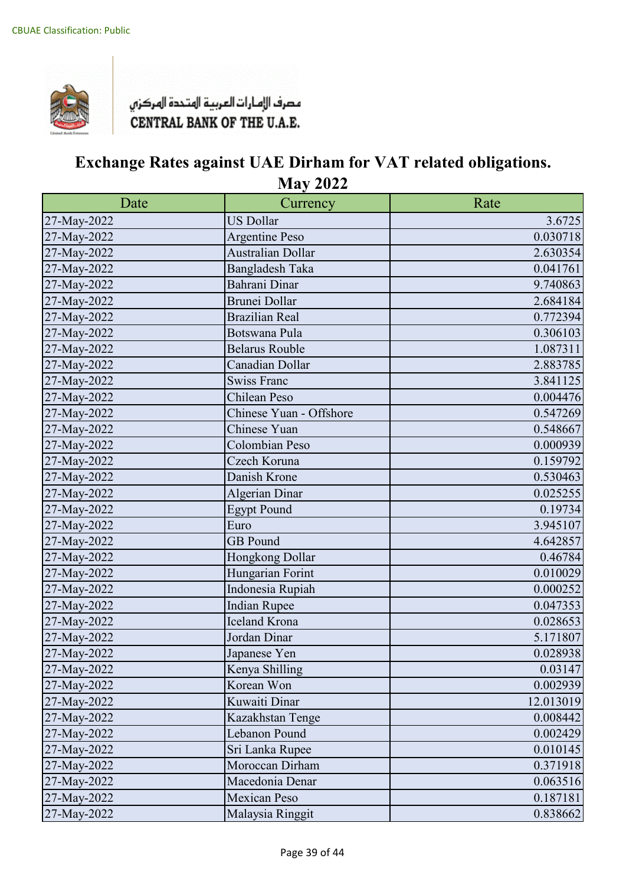

| Date        | Currency                | Rate      |
|-------------|-------------------------|-----------|
| 27-May-2022 | <b>US Dollar</b>        | 3.6725    |
| 27-May-2022 | <b>Argentine Peso</b>   | 0.030718  |
| 27-May-2022 | Australian Dollar       | 2.630354  |
| 27-May-2022 | Bangladesh Taka         | 0.041761  |
| 27-May-2022 | Bahrani Dinar           | 9.740863  |
| 27-May-2022 | Brunei Dollar           | 2.684184  |
| 27-May-2022 | <b>Brazilian Real</b>   | 0.772394  |
| 27-May-2022 | Botswana Pula           | 0.306103  |
| 27-May-2022 | <b>Belarus Rouble</b>   | 1.087311  |
| 27-May-2022 | Canadian Dollar         | 2.883785  |
| 27-May-2022 | <b>Swiss Franc</b>      | 3.841125  |
| 27-May-2022 | Chilean Peso            | 0.004476  |
| 27-May-2022 | Chinese Yuan - Offshore | 0.547269  |
| 27-May-2022 | Chinese Yuan            | 0.548667  |
| 27-May-2022 | Colombian Peso          | 0.000939  |
| 27-May-2022 | Czech Koruna            | 0.159792  |
| 27-May-2022 | Danish Krone            | 0.530463  |
| 27-May-2022 | Algerian Dinar          | 0.025255  |
| 27-May-2022 | <b>Egypt Pound</b>      | 0.19734   |
| 27-May-2022 | Euro                    | 3.945107  |
| 27-May-2022 | <b>GB</b> Pound         | 4.642857  |
| 27-May-2022 | Hongkong Dollar         | 0.46784   |
| 27-May-2022 | Hungarian Forint        | 0.010029  |
| 27-May-2022 | Indonesia Rupiah        | 0.000252  |
| 27-May-2022 | <b>Indian Rupee</b>     | 0.047353  |
| 27-May-2022 | <b>Iceland Krona</b>    | 0.028653  |
| 27-May-2022 | Jordan Dinar            | 5.171807  |
| 27-May-2022 | Japanese Yen            | 0.028938  |
| 27-May-2022 | Kenya Shilling          | 0.03147   |
| 27-May-2022 | Korean Won              | 0.002939  |
| 27-May-2022 | Kuwaiti Dinar           | 12.013019 |
| 27-May-2022 | Kazakhstan Tenge        | 0.008442  |
| 27-May-2022 | Lebanon Pound           | 0.002429  |
| 27-May-2022 | Sri Lanka Rupee         | 0.010145  |
| 27-May-2022 | Moroccan Dirham         | 0.371918  |
| 27-May-2022 | Macedonia Denar         | 0.063516  |
| 27-May-2022 | <b>Mexican Peso</b>     | 0.187181  |
| 27-May-2022 | Malaysia Ringgit        | 0.838662  |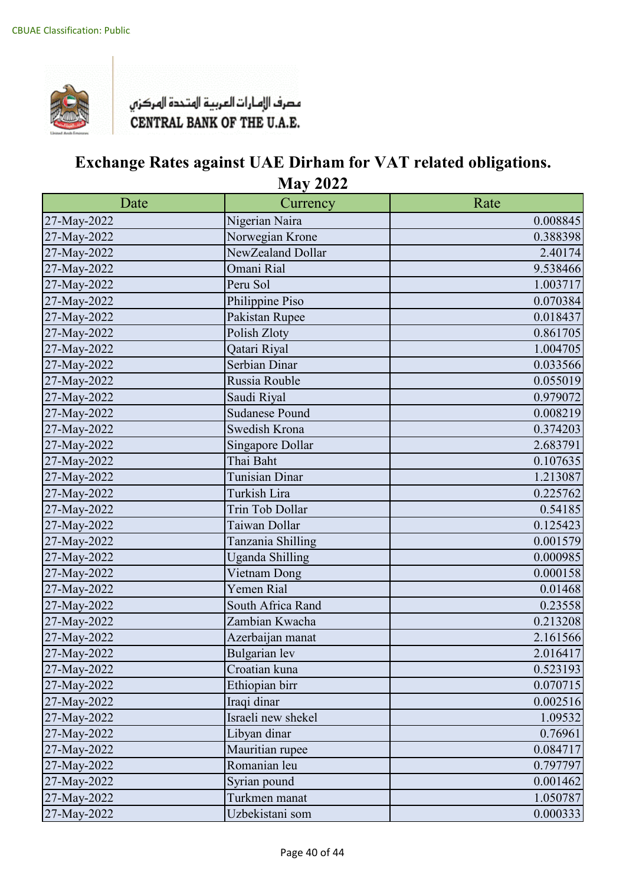

| Date        | Currency               | Rate     |
|-------------|------------------------|----------|
| 27-May-2022 | Nigerian Naira         | 0.008845 |
| 27-May-2022 | Norwegian Krone        | 0.388398 |
| 27-May-2022 | NewZealand Dollar      | 2.40174  |
| 27-May-2022 | Omani Rial             | 9.538466 |
| 27-May-2022 | Peru Sol               | 1.003717 |
| 27-May-2022 | Philippine Piso        | 0.070384 |
| 27-May-2022 | Pakistan Rupee         | 0.018437 |
| 27-May-2022 | Polish Zloty           | 0.861705 |
| 27-May-2022 | Qatari Riyal           | 1.004705 |
| 27-May-2022 | Serbian Dinar          | 0.033566 |
| 27-May-2022 | Russia Rouble          | 0.055019 |
| 27-May-2022 | Saudi Riyal            | 0.979072 |
| 27-May-2022 | <b>Sudanese Pound</b>  | 0.008219 |
| 27-May-2022 | Swedish Krona          | 0.374203 |
| 27-May-2022 | Singapore Dollar       | 2.683791 |
| 27-May-2022 | Thai Baht              | 0.107635 |
| 27-May-2022 | <b>Tunisian Dinar</b>  | 1.213087 |
| 27-May-2022 | Turkish Lira           | 0.225762 |
| 27-May-2022 | Trin Tob Dollar        | 0.54185  |
| 27-May-2022 | Taiwan Dollar          | 0.125423 |
| 27-May-2022 | Tanzania Shilling      | 0.001579 |
| 27-May-2022 | <b>Uganda Shilling</b> | 0.000985 |
| 27-May-2022 | Vietnam Dong           | 0.000158 |
| 27-May-2022 | Yemen Rial             | 0.01468  |
| 27-May-2022 | South Africa Rand      | 0.23558  |
| 27-May-2022 | Zambian Kwacha         | 0.213208 |
| 27-May-2022 | Azerbaijan manat       | 2.161566 |
| 27-May-2022 | Bulgarian lev          | 2.016417 |
| 27-May-2022 | Croatian kuna          | 0.523193 |
| 27-May-2022 | Ethiopian birr         | 0.070715 |
| 27-May-2022 | Iraqi dinar            | 0.002516 |
| 27-May-2022 | Israeli new shekel     | 1.09532  |
| 27-May-2022 | Libyan dinar           | 0.76961  |
| 27-May-2022 | Mauritian rupee        | 0.084717 |
| 27-May-2022 | Romanian leu           | 0.797797 |
| 27-May-2022 | Syrian pound           | 0.001462 |
| 27-May-2022 | Turkmen manat          | 1.050787 |
| 27-May-2022 | Uzbekistani som        | 0.000333 |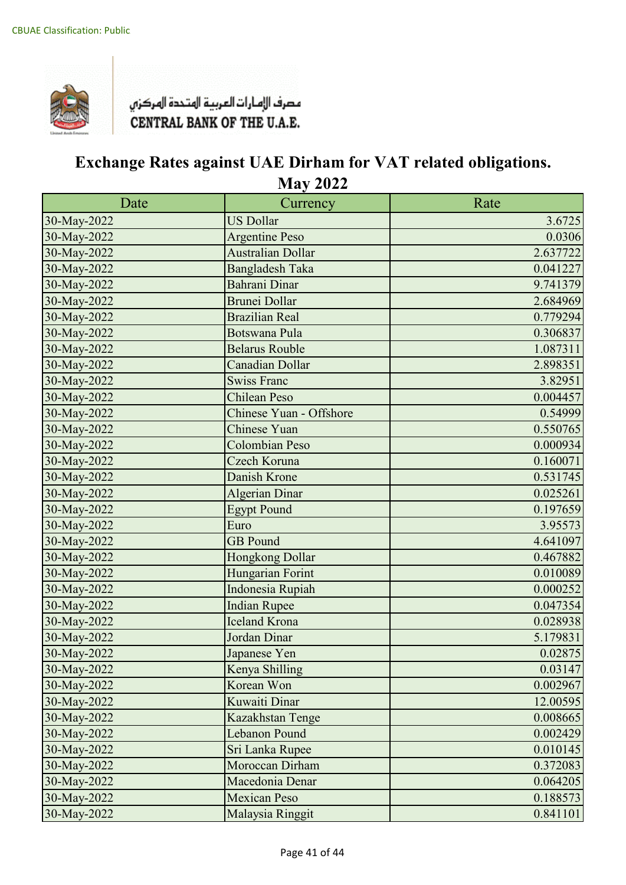

| Date        | Currency                 | Rate     |
|-------------|--------------------------|----------|
| 30-May-2022 | <b>US Dollar</b>         | 3.6725   |
| 30-May-2022 | <b>Argentine Peso</b>    | 0.0306   |
| 30-May-2022 | <b>Australian Dollar</b> | 2.637722 |
| 30-May-2022 | <b>Bangladesh Taka</b>   | 0.041227 |
| 30-May-2022 | Bahrani Dinar            | 9.741379 |
| 30-May-2022 | <b>Brunei Dollar</b>     | 2.684969 |
| 30-May-2022 | <b>Brazilian Real</b>    | 0.779294 |
| 30-May-2022 | <b>Botswana Pula</b>     | 0.306837 |
| 30-May-2022 | <b>Belarus Rouble</b>    | 1.087311 |
| 30-May-2022 | <b>Canadian Dollar</b>   | 2.898351 |
| 30-May-2022 | <b>Swiss Franc</b>       | 3.82951  |
| 30-May-2022 | <b>Chilean Peso</b>      | 0.004457 |
| 30-May-2022 | Chinese Yuan - Offshore  | 0.54999  |
| 30-May-2022 | <b>Chinese Yuan</b>      | 0.550765 |
| 30-May-2022 | <b>Colombian Peso</b>    | 0.000934 |
| 30-May-2022 | Czech Koruna             | 0.160071 |
| 30-May-2022 | Danish Krone             | 0.531745 |
| 30-May-2022 | <b>Algerian Dinar</b>    | 0.025261 |
| 30-May-2022 | <b>Egypt Pound</b>       | 0.197659 |
| 30-May-2022 | Euro                     | 3.95573  |
| 30-May-2022 | <b>GB</b> Pound          | 4.641097 |
| 30-May-2022 | Hongkong Dollar          | 0.467882 |
| 30-May-2022 | Hungarian Forint         | 0.010089 |
| 30-May-2022 | Indonesia Rupiah         | 0.000252 |
| 30-May-2022 | <b>Indian Rupee</b>      | 0.047354 |
| 30-May-2022 | <b>Iceland Krona</b>     | 0.028938 |
| 30-May-2022 | Jordan Dinar             | 5.179831 |
| 30-May-2022 | Japanese Yen             | 0.02875  |
| 30-May-2022 | Kenya Shilling           | 0.03147  |
| 30-May-2022 | Korean Won               | 0.002967 |
| 30-May-2022 | Kuwaiti Dinar            | 12.00595 |
| 30-May-2022 | Kazakhstan Tenge         | 0.008665 |
| 30-May-2022 | Lebanon Pound            | 0.002429 |
| 30-May-2022 | Sri Lanka Rupee          | 0.010145 |
| 30-May-2022 | Moroccan Dirham          | 0.372083 |
| 30-May-2022 | Macedonia Denar          | 0.064205 |
| 30-May-2022 | <b>Mexican Peso</b>      | 0.188573 |
| 30-May-2022 | Malaysia Ringgit         | 0.841101 |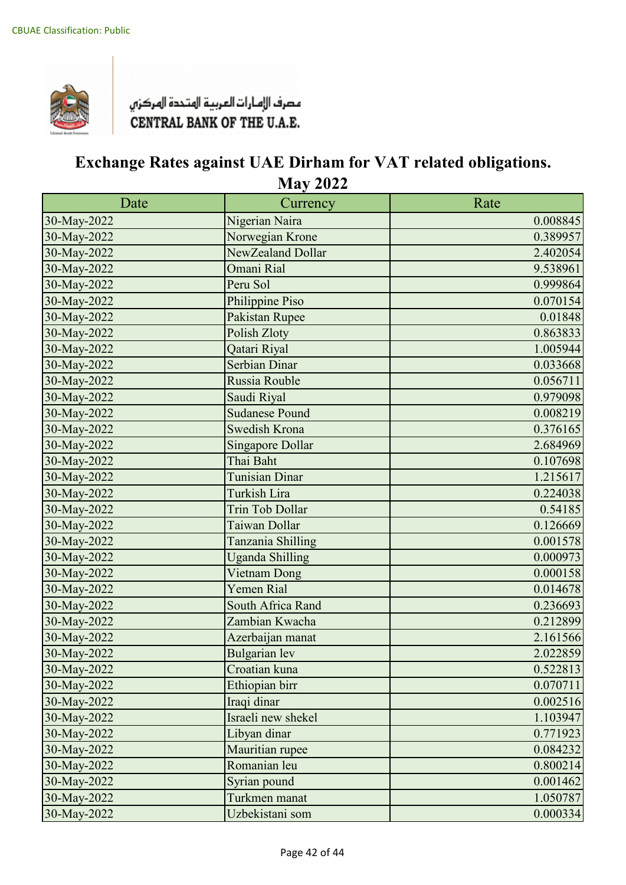

| Date        | Currency                | Rate     |
|-------------|-------------------------|----------|
| 30-May-2022 | Nigerian Naira          | 0.008845 |
| 30-May-2022 | Norwegian Krone         | 0.389957 |
| 30-May-2022 | NewZealand Dollar       | 2.402054 |
| 30-May-2022 | Omani Rial              | 9.538961 |
| 30-May-2022 | Peru Sol                | 0.999864 |
| 30-May-2022 | Philippine Piso         | 0.070154 |
| 30-May-2022 | Pakistan Rupee          | 0.01848  |
| 30-May-2022 | Polish Zloty            | 0.863833 |
| 30-May-2022 | Qatari Riyal            | 1.005944 |
| 30-May-2022 | Serbian Dinar           | 0.033668 |
| 30-May-2022 | Russia Rouble           | 0.056711 |
| 30-May-2022 | Saudi Riyal             | 0.979098 |
| 30-May-2022 | <b>Sudanese Pound</b>   | 0.008219 |
| 30-May-2022 | <b>Swedish Krona</b>    | 0.376165 |
| 30-May-2022 | <b>Singapore Dollar</b> | 2.684969 |
| 30-May-2022 | Thai Baht               | 0.107698 |
| 30-May-2022 | <b>Tunisian Dinar</b>   | 1.215617 |
| 30-May-2022 | Turkish Lira            | 0.224038 |
| 30-May-2022 | <b>Trin Tob Dollar</b>  | 0.54185  |
| 30-May-2022 | Taiwan Dollar           | 0.126669 |
| 30-May-2022 | Tanzania Shilling       | 0.001578 |
| 30-May-2022 | <b>Uganda Shilling</b>  | 0.000973 |
| 30-May-2022 | Vietnam Dong            | 0.000158 |
| 30-May-2022 | Yemen Rial              | 0.014678 |
| 30-May-2022 | South Africa Rand       | 0.236693 |
| 30-May-2022 | Zambian Kwacha          | 0.212899 |
| 30-May-2022 | Azerbaijan manat        | 2.161566 |
| 30-May-2022 | <b>Bulgarian</b> lev    | 2.022859 |
| 30-May-2022 | Croatian kuna           | 0.522813 |
| 30-May-2022 | Ethiopian birr          | 0.070711 |
| 30-May-2022 | Iraqi dinar             | 0.002516 |
| 30-May-2022 | Israeli new shekel      | 1.103947 |
| 30-May-2022 | Libyan dinar            | 0.771923 |
| 30-May-2022 | Mauritian rupee         | 0.084232 |
| 30-May-2022 | Romanian leu            | 0.800214 |
| 30-May-2022 | Syrian pound            | 0.001462 |
| 30-May-2022 | Turkmen manat           | 1.050787 |
| 30-May-2022 | Uzbekistani som         | 0.000334 |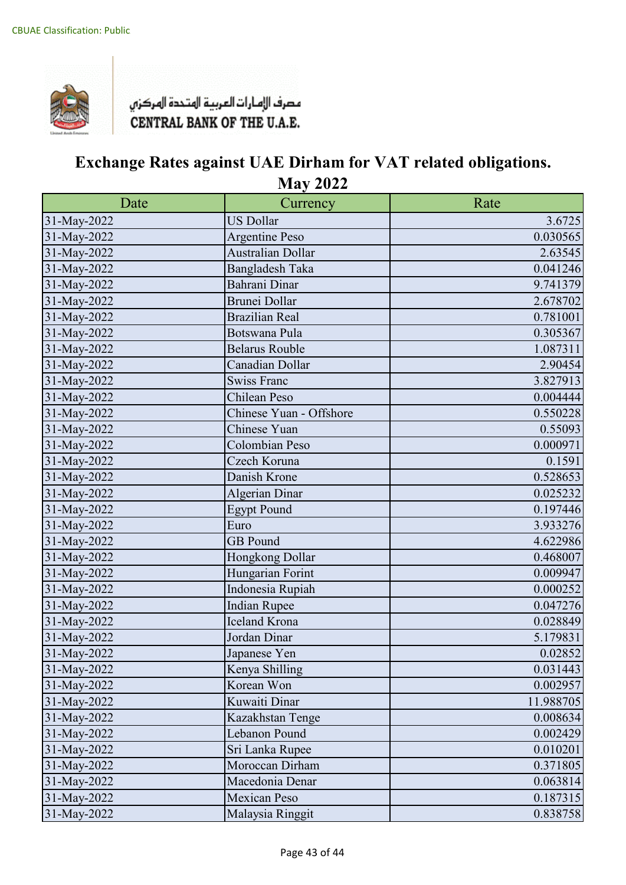

| Date        | Currency                 | Rate      |
|-------------|--------------------------|-----------|
| 31-May-2022 | <b>US Dollar</b>         | 3.6725    |
| 31-May-2022 | <b>Argentine Peso</b>    | 0.030565  |
| 31-May-2022 | <b>Australian Dollar</b> | 2.63545   |
| 31-May-2022 | Bangladesh Taka          | 0.041246  |
| 31-May-2022 | Bahrani Dinar            | 9.741379  |
| 31-May-2022 | Brunei Dollar            | 2.678702  |
| 31-May-2022 | <b>Brazilian Real</b>    | 0.781001  |
| 31-May-2022 | Botswana Pula            | 0.305367  |
| 31-May-2022 | <b>Belarus Rouble</b>    | 1.087311  |
| 31-May-2022 | Canadian Dollar          | 2.90454   |
| 31-May-2022 | <b>Swiss Franc</b>       | 3.827913  |
| 31-May-2022 | Chilean Peso             | 0.004444  |
| 31-May-2022 | Chinese Yuan - Offshore  | 0.550228  |
| 31-May-2022 | Chinese Yuan             | 0.55093   |
| 31-May-2022 | Colombian Peso           | 0.000971  |
| 31-May-2022 | Czech Koruna             | 0.1591    |
| 31-May-2022 | Danish Krone             | 0.528653  |
| 31-May-2022 | <b>Algerian Dinar</b>    | 0.025232  |
| 31-May-2022 | <b>Egypt Pound</b>       | 0.197446  |
| 31-May-2022 | Euro                     | 3.933276  |
| 31-May-2022 | <b>GB</b> Pound          | 4.622986  |
| 31-May-2022 | Hongkong Dollar          | 0.468007  |
| 31-May-2022 | Hungarian Forint         | 0.009947  |
| 31-May-2022 | Indonesia Rupiah         | 0.000252  |
| 31-May-2022 | <b>Indian Rupee</b>      | 0.047276  |
| 31-May-2022 | <b>Iceland Krona</b>     | 0.028849  |
| 31-May-2022 | Jordan Dinar             | 5.179831  |
| 31-May-2022 | Japanese Yen             | 0.02852   |
| 31-May-2022 | Kenya Shilling           | 0.031443  |
| 31-May-2022 | Korean Won               | 0.002957  |
| 31-May-2022 | Kuwaiti Dinar            | 11.988705 |
| 31-May-2022 | Kazakhstan Tenge         | 0.008634  |
| 31-May-2022 | Lebanon Pound            | 0.002429  |
| 31-May-2022 | Sri Lanka Rupee          | 0.010201  |
| 31-May-2022 | Moroccan Dirham          | 0.371805  |
| 31-May-2022 | Macedonia Denar          | 0.063814  |
| 31-May-2022 | <b>Mexican Peso</b>      | 0.187315  |
| 31-May-2022 | Malaysia Ringgit         | 0.838758  |